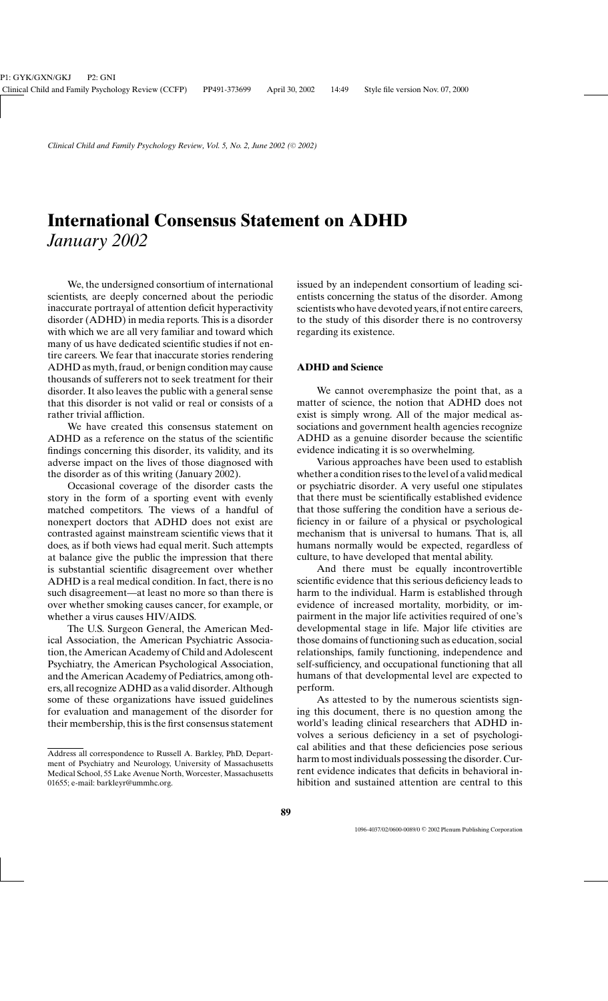We, the undersigned consortium of international scientists, are deeply concerned about the periodic inaccurate portrayal of attention deficit hyperactivity disorder (ADHD) in media reports. This is a disorder with which we are all very familiar and toward which many of us have dedicated scientific studies if not entire careers. We fear that inaccurate stories rendering ADHD as myth, fraud, or benign condition may cause thousands of sufferers not to seek treatment for their disorder. It also leaves the public with a general sense that this disorder is not valid or real or consists of a rather trivial affliction.

We have created this consensus statement on ADHD as a reference on the status of the scientific findings concerning this disorder, its validity, and its adverse impact on the lives of those diagnosed with the disorder as of this writing (January 2002).

Occasional coverage of the disorder casts the story in the form of a sporting event with evenly matched competitors. The views of a handful of nonexpert doctors that ADHD does not exist are contrasted against mainstream scientific views that it does, as if both views had equal merit. Such attempts at balance give the public the impression that there is substantial scientific disagreement over whether ADHD is a real medical condition. In fact, there is no such disagreement—at least no more so than there is over whether smoking causes cancer, for example, or whether a virus causes HIV/AIDS.

The U.S. Surgeon General, the American Medical Association, the American Psychiatric Association, the American Academy of Child and Adolescent Psychiatry, the American Psychological Association, and the American Academy of Pediatrics, among others, all recognize ADHD as a valid disorder. Although some of these organizations have issued guidelines for evaluation and management of the disorder for their membership, this is the first consensus statement issued by an independent consortium of leading scientists concerning the status of the disorder. Among scientists who have devoted years, if not entire careers, to the study of this disorder there is no controversy regarding its existence.

# **ADHD and Science**

We cannot overemphasize the point that, as a matter of science, the notion that ADHD does not exist is simply wrong. All of the major medical associations and government health agencies recognize ADHD as a genuine disorder because the scientific evidence indicating it is so overwhelming.

Various approaches have been used to establish whether a condition rises to the level of a valid medical or psychiatric disorder. A very useful one stipulates that there must be scientifically established evidence that those suffering the condition have a serious deficiency in or failure of a physical or psychological mechanism that is universal to humans. That is, all humans normally would be expected, regardless of culture, to have developed that mental ability.

And there must be equally incontrovertible scientific evidence that this serious deficiency leads to harm to the individual. Harm is established through evidence of increased mortality, morbidity, or impairment in the major life activities required of one's developmental stage in life. Major life ctivities are those domains of functioning such as education, social relationships, family functioning, independence and self-sufficiency, and occupational functioning that all humans of that developmental level are expected to perform.

As attested to by the numerous scientists signing this document, there is no question among the world's leading clinical researchers that ADHD involves a serious deficiency in a set of psychological abilities and that these deficiencies pose serious harm to most individuals possessing the disorder. Current evidence indicates that deficits in behavioral inhibition and sustained attention are central to this

Address all correspondence to Russell A. Barkley, PhD, Department of Psychiatry and Neurology, University of Massachusetts Medical School, 55 Lake Avenue North, Worcester, Massachusetts 01655; e-mail: barkleyr@ummhc.org.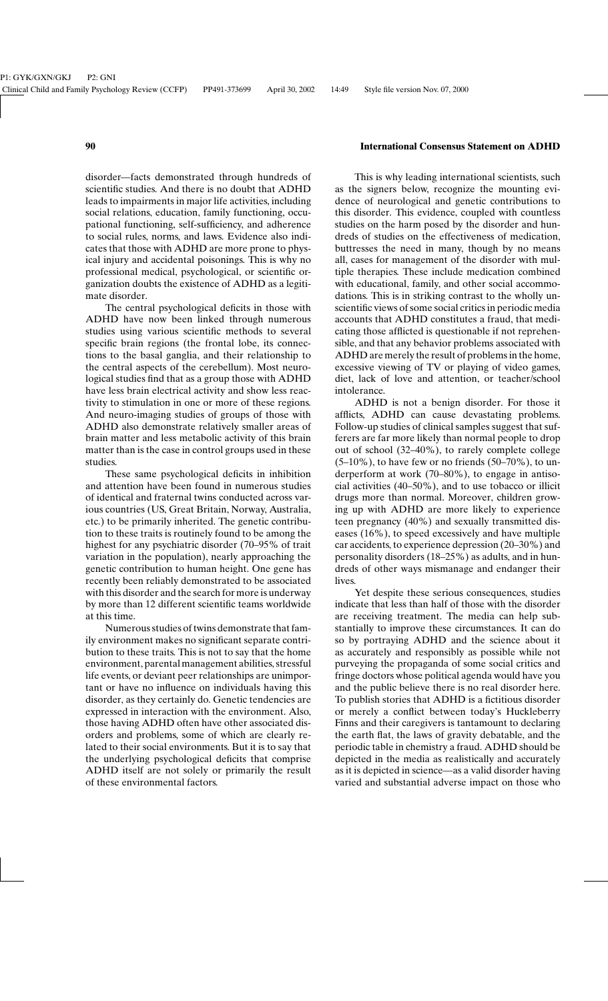disorder—facts demonstrated through hundreds of scientific studies. And there is no doubt that ADHD leads to impairments in major life activities, including social relations, education, family functioning, occupational functioning, self-sufficiency, and adherence to social rules, norms, and laws. Evidence also indicates that those with ADHD are more prone to physical injury and accidental poisonings. This is why no professional medical, psychological, or scientific organization doubts the existence of ADHD as a legitimate disorder.

The central psychological deficits in those with ADHD have now been linked through numerous studies using various scientific methods to several specific brain regions (the frontal lobe, its connections to the basal ganglia, and their relationship to the central aspects of the cerebellum). Most neurological studies find that as a group those with ADHD have less brain electrical activity and show less reactivity to stimulation in one or more of these regions. And neuro-imaging studies of groups of those with ADHD also demonstrate relatively smaller areas of brain matter and less metabolic activity of this brain matter than is the case in control groups used in these studies.

These same psychological deficits in inhibition and attention have been found in numerous studies of identical and fraternal twins conducted across various countries (US, Great Britain, Norway, Australia, etc.) to be primarily inherited. The genetic contribution to these traits is routinely found to be among the highest for any psychiatric disorder (70–95% of trait variation in the population), nearly approaching the genetic contribution to human height. One gene has recently been reliably demonstrated to be associated with this disorder and the search for more is underway by more than 12 different scientific teams worldwide at this time.

Numerous studies of twins demonstrate that family environment makes no significant separate contribution to these traits. This is not to say that the home environment, parental management abilities, stressful life events, or deviant peer relationships are unimportant or have no influence on individuals having this disorder, as they certainly do. Genetic tendencies are expressed in interaction with the environment. Also, those having ADHD often have other associated disorders and problems, some of which are clearly related to their social environments. But it is to say that the underlying psychological deficits that comprise ADHD itself are not solely or primarily the result of these environmental factors.

This is why leading international scientists, such as the signers below, recognize the mounting evidence of neurological and genetic contributions to this disorder. This evidence, coupled with countless studies on the harm posed by the disorder and hundreds of studies on the effectiveness of medication, buttresses the need in many, though by no means all, cases for management of the disorder with multiple therapies. These include medication combined with educational, family, and other social accommodations. This is in striking contrast to the wholly unscientific views of some social critics in periodic media accounts that ADHD constitutes a fraud, that medicating those afflicted is questionable if not reprehensible, and that any behavior problems associated with ADHD are merely the result of problems in the home, excessive viewing of TV or playing of video games, diet, lack of love and attention, or teacher/school intolerance.

ADHD is not a benign disorder. For those it afflicts, ADHD can cause devastating problems. Follow-up studies of clinical samples suggest that sufferers are far more likely than normal people to drop out of school (32–40%), to rarely complete college  $(5-10\%)$ , to have few or no friends  $(50-70\%)$ , to underperform at work (70–80%), to engage in antisocial activities (40–50%), and to use tobacco or illicit drugs more than normal. Moreover, children growing up with ADHD are more likely to experience teen pregnancy (40%) and sexually transmitted diseases (16%), to speed excessively and have multiple car accidents, to experience depression (20–30%) and personality disorders (18–25%) as adults, and in hundreds of other ways mismanage and endanger their lives.

Yet despite these serious consequences, studies indicate that less than half of those with the disorder are receiving treatment. The media can help substantially to improve these circumstances. It can do so by portraying ADHD and the science about it as accurately and responsibly as possible while not purveying the propaganda of some social critics and fringe doctors whose political agenda would have you and the public believe there is no real disorder here. To publish stories that ADHD is a fictitious disorder or merely a conflict between today's Huckleberry Finns and their caregivers is tantamount to declaring the earth flat, the laws of gravity debatable, and the periodic table in chemistry a fraud. ADHD should be depicted in the media as realistically and accurately as it is depicted in science—as a valid disorder having varied and substantial adverse impact on those who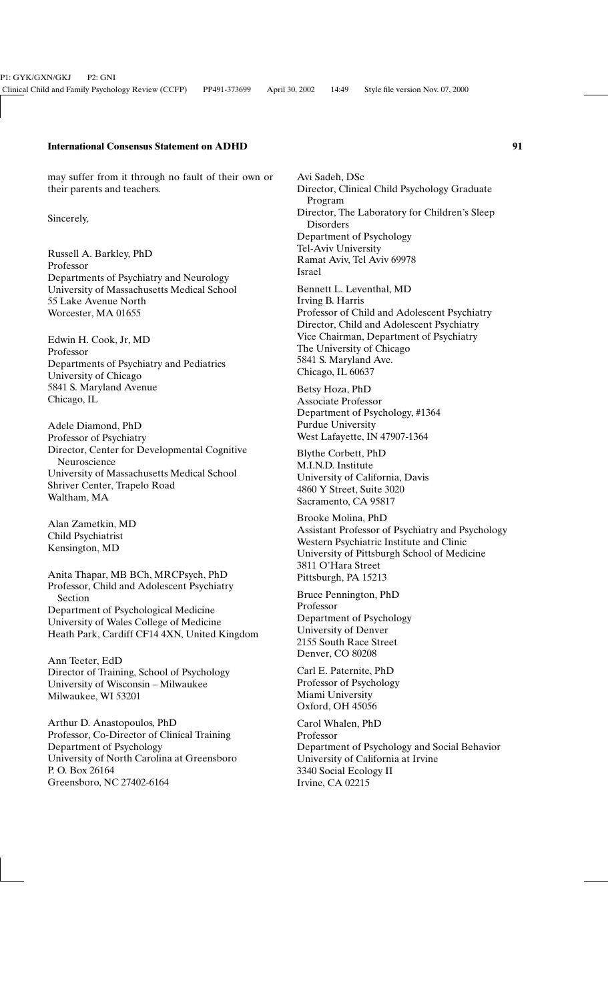may suffer from it through no fault of their own or their parents and teachers.

Sincerely,

Russell A. Barkley, PhD Professor Departments of Psychiatry and Neurology University of Massachusetts Medical School 55 Lake Avenue North Worcester, MA 01655

Edwin H. Cook, Jr, MD Professor Departments of Psychiatry and Pediatrics University of Chicago 5841 S. Maryland Avenue Chicago, IL

Adele Diamond, PhD Professor of Psychiatry Director, Center for Developmental Cognitive Neuroscience University of Massachusetts Medical School Shriver Center, Trapelo Road Waltham, MA

Alan Zametkin, MD Child Psychiatrist Kensington, MD

Anita Thapar, MB BCh, MRCPsych, PhD Professor, Child and Adolescent Psychiatry Section Department of Psychological Medicine University of Wales College of Medicine Heath Park, Cardiff CF14 4XN, United Kingdom

Ann Teeter, EdD Director of Training, School of Psychology University of Wisconsin – Milwaukee Milwaukee, WI 53201

Arthur D. Anastopoulos, PhD Professor, Co-Director of Clinical Training Department of Psychology University of North Carolina at Greensboro P. O. Box 26164 Greensboro, NC 27402-6164

Avi Sadeh, DSc Director, Clinical Child Psychology Graduate Program Director, The Laboratory for Children's Sleep **Disorders** Department of Psychology Tel-Aviv University Ramat Aviv, Tel Aviv 69978 Israel Bennett L. Leventhal, MD

Irving B. Harris Professor of Child and Adolescent Psychiatry Director, Child and Adolescent Psychiatry Vice Chairman, Department of Psychiatry The University of Chicago 5841 S. Maryland Ave. Chicago, IL 60637

Betsy Hoza, PhD Associate Professor Department of Psychology, #1364 Purdue University West Lafayette, IN 47907-1364

Blythe Corbett, PhD M.I.N.D. Institute University of California, Davis 4860 Y Street, Suite 3020 Sacramento, CA 95817

Brooke Molina, PhD Assistant Professor of Psychiatry and Psychology Western Psychiatric Institute and Clinic University of Pittsburgh School of Medicine 3811 O'Hara Street Pittsburgh, PA 15213

Bruce Pennington, PhD Professor Department of Psychology University of Denver 2155 South Race Street Denver, CO 80208

Carl E. Paternite, PhD Professor of Psychology Miami University Oxford, OH 45056

Carol Whalen, PhD Professor Department of Psychology and Social Behavior University of California at Irvine 3340 Social Ecology II Irvine, CA 02215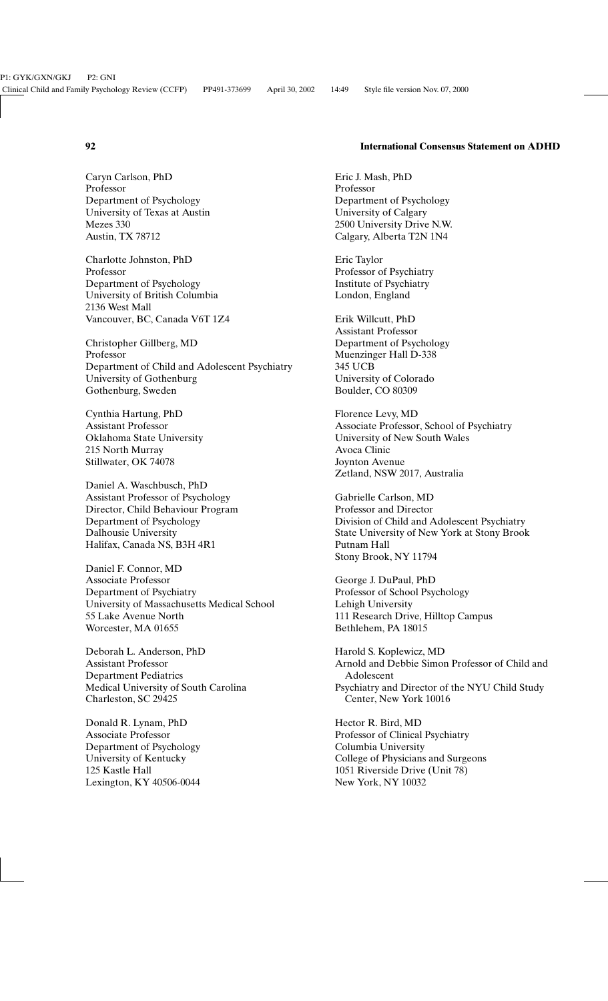Caryn Carlson, PhD Professor Department of Psychology University of Texas at Austin Mezes 330 Austin, TX 78712

Charlotte Johnston, PhD Professor Department of Psychology University of British Columbia 2136 West Mall Vancouver, BC, Canada V6T 1Z4

Christopher Gillberg, MD Professor Department of Child and Adolescent Psychiatry University of Gothenburg Gothenburg, Sweden

Cynthia Hartung, PhD Assistant Professor Oklahoma State University 215 North Murray Stillwater, OK 74078

Daniel A. Waschbusch, PhD Assistant Professor of Psychology Director, Child Behaviour Program Department of Psychology Dalhousie University Halifax, Canada NS, B3H 4R1

Daniel F. Connor, MD Associate Professor Department of Psychiatry University of Massachusetts Medical School 55 Lake Avenue North Worcester, MA 01655

Deborah L. Anderson, PhD Assistant Professor Department Pediatrics Medical University of South Carolina Charleston, SC 29425

Donald R. Lynam, PhD Associate Professor Department of Psychology University of Kentucky 125 Kastle Hall Lexington, KY 40506-0044

Eric J. Mash, PhD Professor Department of Psychology University of Calgary 2500 University Drive N.W. Calgary, Alberta T2N 1N4

Eric Taylor Professor of Psychiatry Institute of Psychiatry London, England

Erik Willcutt, PhD Assistant Professor Department of Psychology Muenzinger Hall D-338 345 UCB University of Colorado Boulder, CO 80309

Florence Levy, MD Associate Professor, School of Psychiatry University of New South Wales Avoca Clinic Joynton Avenue Zetland, NSW 2017, Australia

Gabrielle Carlson, MD Professor and Director Division of Child and Adolescent Psychiatry State University of New York at Stony Brook Putnam Hall Stony Brook, NY 11794

George J. DuPaul, PhD Professor of School Psychology Lehigh University 111 Research Drive, Hilltop Campus Bethlehem, PA 18015

Harold S. Koplewicz, MD Arnold and Debbie Simon Professor of Child and Adolescent Psychiatry and Director of the NYU Child Study Center, New York 10016

Hector R. Bird, MD Professor of Clinical Psychiatry Columbia University College of Physicians and Surgeons 1051 Riverside Drive (Unit 78) New York, NY 10032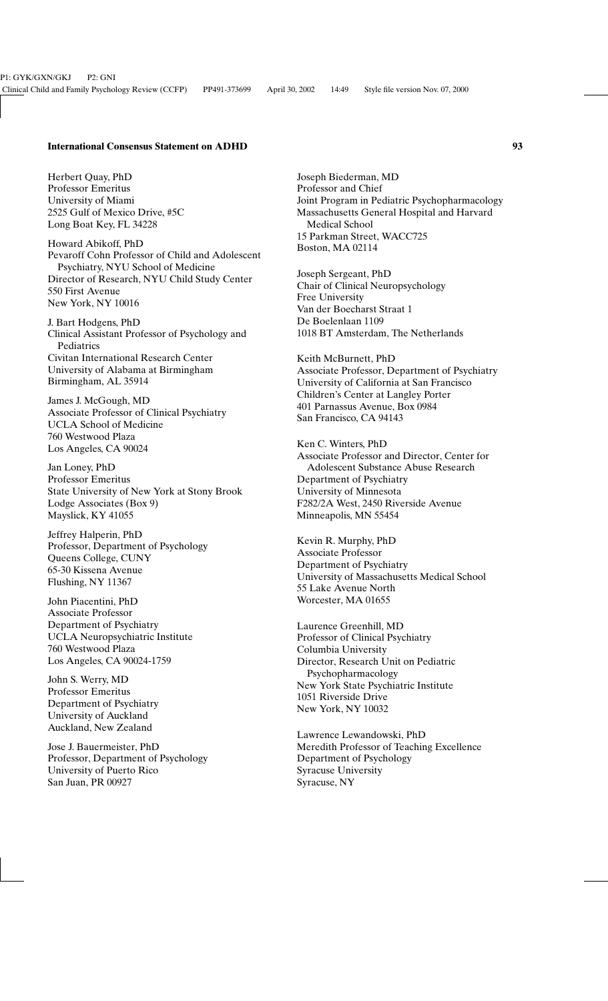Herbert Quay, PhD Professor Emeritus University of Miami 2525 Gulf of Mexico Drive, #5C Long Boat Key, FL 34228

Howard Abikoff, PhD Pevaroff Cohn Professor of Child and Adolescent Psychiatry, NYU School of Medicine Director of Research, NYU Child Study Center 550 First Avenue New York, NY 10016

J. Bart Hodgens, PhD Clinical Assistant Professor of Psychology and **Pediatrics** Civitan International Research Center University of Alabama at Birmingham Birmingham, AL 35914

James J. McGough, MD Associate Professor of Clinical Psychiatry UCLA School of Medicine 760 Westwood Plaza Los Angeles, CA 90024

Jan Loney, PhD Professor Emeritus State University of New York at Stony Brook Lodge Associates (Box 9) Mayslick, KY 41055

Jeffrey Halperin, PhD Professor, Department of Psychology Queens College, CUNY 65-30 Kissena Avenue Flushing, NY 11367

John Piacentini, PhD Associate Professor Department of Psychiatry UCLA Neuropsychiatric Institute 760 Westwood Plaza Los Angeles, CA 90024-1759

John S. Werry, MD Professor Emeritus Department of Psychiatry University of Auckland Auckland, New Zealand

Jose J. Bauermeister, PhD Professor, Department of Psychology University of Puerto Rico San Juan, PR 00927

Joseph Biederman, MD Professor and Chief Joint Program in Pediatric Psychopharmacology Massachusetts General Hospital and Harvard Medical School 15 Parkman Street, WACC725 Boston, MA 02114

Joseph Sergeant, PhD Chair of Clinical Neuropsychology Free University Van der Boecharst Straat 1 De Boelenlaan 1109 1018 BT Amsterdam, The Netherlands

Keith McBurnett, PhD Associate Professor, Department of Psychiatry University of California at San Francisco Children's Center at Langley Porter 401 Parnassus Avenue, Box 0984 San Francisco, CA 94143

Ken C. Winters, PhD Associate Professor and Director, Center for Adolescent Substance Abuse Research Department of Psychiatry University of Minnesota F282/2A West, 2450 Riverside Avenue Minneapolis, MN 55454

Kevin R. Murphy, PhD Associate Professor Department of Psychiatry University of Massachusetts Medical School 55 Lake Avenue North Worcester, MA 01655

Laurence Greenhill, MD Professor of Clinical Psychiatry Columbia University Director, Research Unit on Pediatric Psychopharmacology New York State Psychiatric Institute 1051 Riverside Drive New York, NY 10032

Lawrence Lewandowski, PhD Meredith Professor of Teaching Excellence Department of Psychology Syracuse University Syracuse, NY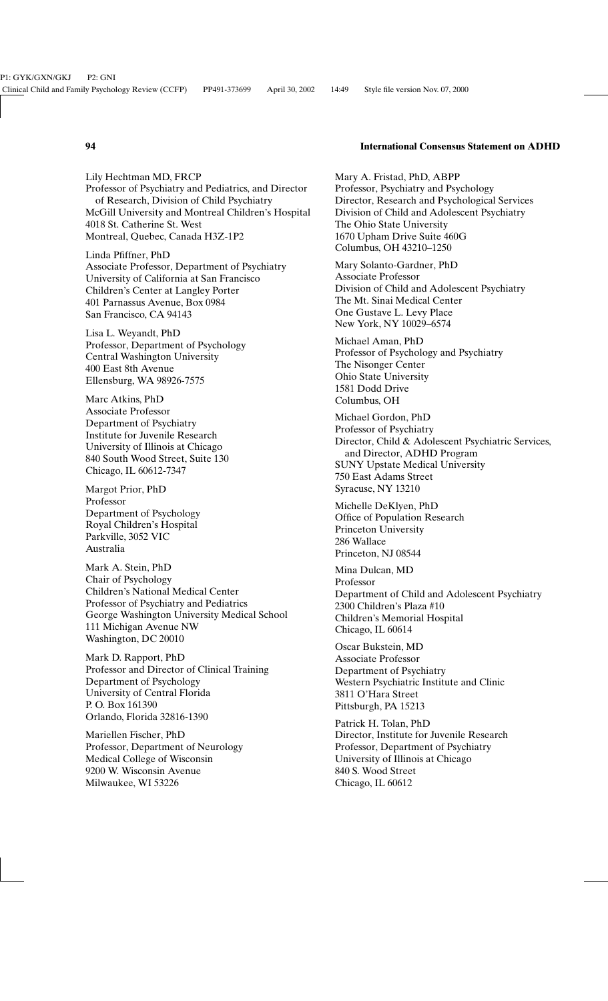Lily Hechtman MD, FRCP Professor of Psychiatry and Pediatrics, and Director of Research, Division of Child Psychiatry McGill University and Montreal Children's Hospital 4018 St. Catherine St. West Montreal, Quebec, Canada H3Z-1P2

Linda Pfiffner, PhD Associate Professor, Department of Psychiatry University of California at San Francisco Children's Center at Langley Porter 401 Parnassus Avenue, Box 0984 San Francisco, CA 94143

Lisa L. Weyandt, PhD Professor, Department of Psychology Central Washington University 400 East 8th Avenue Ellensburg, WA 98926-7575

Marc Atkins, PhD Associate Professor Department of Psychiatry Institute for Juvenile Research University of Illinois at Chicago 840 South Wood Street, Suite 130 Chicago, IL 60612-7347

Margot Prior, PhD Professor Department of Psychology Royal Children's Hospital Parkville, 3052 VIC Australia

Mark A. Stein, PhD Chair of Psychology Children's National Medical Center Professor of Psychiatry and Pediatrics George Washington University Medical School 111 Michigan Avenue NW Washington, DC 20010

Mark D. Rapport, PhD Professor and Director of Clinical Training Department of Psychology University of Central Florida P. O. Box 161390 Orlando, Florida 32816-1390

Mariellen Fischer, PhD Professor, Department of Neurology Medical College of Wisconsin 9200 W. Wisconsin Avenue Milwaukee, WI 53226

Mary A. Fristad, PhD, ABPP Professor, Psychiatry and Psychology Director, Research and Psychological Services Division of Child and Adolescent Psychiatry The Ohio State University 1670 Upham Drive Suite 460G Columbus, OH 43210–1250

Mary Solanto-Gardner, PhD Associate Professor Division of Child and Adolescent Psychiatry The Mt. Sinai Medical Center One Gustave L. Levy Place New York, NY 10029–6574

Michael Aman, PhD Professor of Psychology and Psychiatry The Nisonger Center Ohio State University 1581 Dodd Drive Columbus, OH

Michael Gordon, PhD Professor of Psychiatry Director, Child & Adolescent Psychiatric Services, and Director, ADHD Program SUNY Upstate Medical University 750 East Adams Street Syracuse, NY 13210

Michelle DeKlyen, PhD Office of Population Research Princeton University 286 Wallace Princeton, NJ 08544

Mina Dulcan, MD Professor Department of Child and Adolescent Psychiatry 2300 Children's Plaza #10 Children's Memorial Hospital Chicago, IL 60614

Oscar Bukstein, MD Associate Professor Department of Psychiatry Western Psychiatric Institute and Clinic 3811 O'Hara Street Pittsburgh, PA 15213

Patrick H. Tolan, PhD Director, Institute for Juvenile Research Professor, Department of Psychiatry University of Illinois at Chicago 840 S. Wood Street Chicago, IL 60612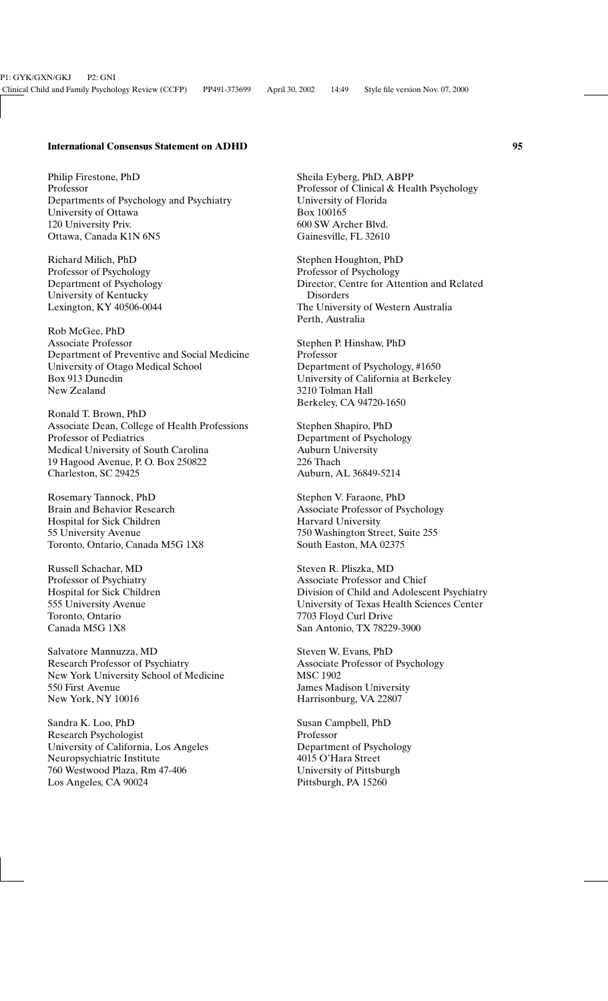Philip Firestone, PhD Professor Departments of Psychology and Psychiatry University of Ottawa 120 University Priv. Ottawa, Canada K1N 6N5

Richard Milich, PhD Professor of Psychology Department of Psychology University of Kentucky Lexington, KY 40506-0044

Rob McGee, PhD Associate Professor Department of Preventive and Social Medicine University of Otago Medical School Box 913 Dunedin New Zealand

Ronald T. Brown, PhD Associate Dean, College of Health Professions Professor of Pediatrics Medical University of South Carolina 19 Hagood Avenue, P. O. Box 250822 Charleston, SC 29425

Rosemary Tannock, PhD Brain and Behavior Research Hospital for Sick Children 55 University Avenue Toronto, Ontario, Canada M5G 1X8

Russell Schachar, MD Professor of Psychiatry Hospital for Sick Children 555 University Avenue Toronto, Ontario Canada M5G 1X8

Salvatore Mannuzza, MD Research Professor of Psychiatry New York University School of Medicine 550 First Avenue New York, NY 10016

Sandra K. Loo, PhD Research Psychologist University of California, Los Angeles Neuropsychiatric Institute 760 Westwood Plaza, Rm 47-406 Los Angeles, CA 90024

Sheila Eyberg, PhD, ABPP Professor of Clinical & Health Psychology University of Florida Box 100165 600 SW Archer Blvd. Gainesville, FL 32610

Stephen Houghton, PhD Professor of Psychology Director, Centre for Attention and Related Disorders The University of Western Australia Perth, Australia

Stephen P. Hinshaw, PhD Professor Department of Psychology, #1650 University of California at Berkeley 3210 Tolman Hall Berkeley, CA 94720-1650

Stephen Shapiro, PhD Department of Psychology Auburn University 226 Thach Auburn, AL 36849-5214

Stephen V. Faraone, PhD Associate Professor of Psychology Harvard University 750 Washington Street, Suite 255 South Easton, MA 02375

Steven R. Pliszka, MD Associate Professor and Chief Division of Child and Adolescent Psychiatry University of Texas Health Sciences Center 7703 Floyd Curl Drive San Antonio, TX 78229-3900

Steven W. Evans, PhD Associate Professor of Psychology MSC 1902 James Madison University Harrisonburg, VA 22807

Susan Campbell, PhD Professor Department of Psychology 4015 O'Hara Street University of Pittsburgh Pittsburgh, PA 15260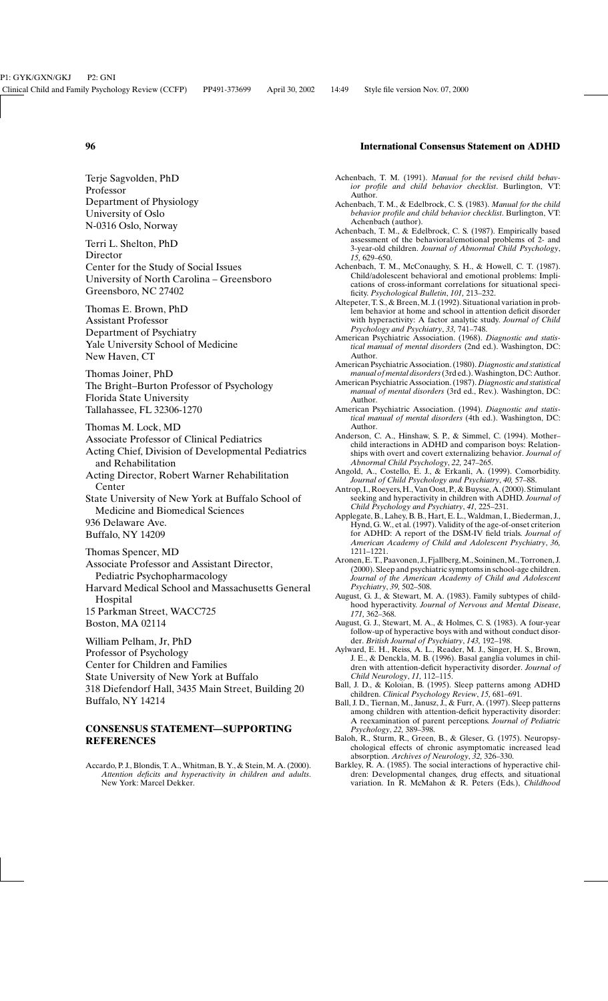Terje Sagvolden, PhD Professor Department of Physiology University of Oslo N-0316 Oslo, Norway

Terri L. Shelton, PhD Director Center for the Study of Social Issues University of North Carolina – Greensboro Greensboro, NC 27402

Thomas E. Brown, PhD Assistant Professor Department of Psychiatry Yale University School of Medicine New Haven, CT

Thomas Joiner, PhD The Bright–Burton Professor of Psychology Florida State University Tallahassee, FL 32306-1270

Thomas M. Lock, MD

Associate Professor of Clinical Pediatrics Acting Chief, Division of Developmental Pediatrics

and Rehabilitation

Acting Director, Robert Warner Rehabilitation Center

State University of New York at Buffalo School of Medicine and Biomedical Sciences 936 Delaware Ave.

Buffalo, NY 14209

Thomas Spencer, MD

Associate Professor and Assistant Director,

Pediatric Psychopharmacology

Harvard Medical School and Massachusetts General Hospital

15 Parkman Street, WACC725 Boston, MA 02114

William Pelham, Jr, PhD Professor of Psychology Center for Children and Families State University of New York at Buffalo 318 Diefendorf Hall, 3435 Main Street, Building 20 Buffalo, NY 14214

# **CONSENSUS STATEMENT—SUPPORTING REFERENCES**

Accardo, P. J., Blondis, T. A., Whitman, B. Y., & Stein, M. A. (2000). *Attention deficits and hyperactivity in children and adults*. New York: Marcel Dekker.

- Achenbach, T. M. (1991). *Manual for the revised child behavior profile and child behavior checklist*. Burlington, VT: Author.
- Achenbach, T. M., & Edelbrock, C. S. (1983). *Manual for the child behavior profile and child behavior checklist*. Burlington, VT: Achenbach (author).
- Achenbach, T. M., & Edelbrock, C. S. (1987). Empirically based assessment of the behavioral/emotional problems of 2- and 3-year-old children. *Journal of Abnormal Child Psychology*, *15,* 629–650.
- Achenbach, T. M., McConaughy, S. H., & Howell, C. T. (1987). Child/adolescent behavioral and emotional problems: Implications of cross-informant correlations for situational specificity. *Psychological Bulletin*, *101,* 213–232.
- Altepeter, T. S., & Breen, M. J. (1992). Situational variation in problem behavior at home and school in attention deficit disorder with hyperactivity: A factor analytic study. *Journal of Child Psychology and Psychiatry*, *33,* 741–748.
- American Psychiatric Association. (1968). *Diagnostic and statistical manual of mental disorders* (2nd ed.). Washington, DC: Author.
- American Psychiatric Association. (1980). *Diagnostic and statistical manual of mental disorders*(3rd ed.). Washington, DC: Author.

American Psychiatric Association. (1987). *Diagnostic and statistical manual of mental disorders* (3rd ed., Rev.). Washington, DC: Author.

- American Psychiatric Association. (1994). *Diagnostic and statistical manual of mental disorders* (4th ed.). Washington, DC: Author.
- Anderson, C. A., Hinshaw, S. P., & Simmel, C. (1994). Mother– child interactions in ADHD and comparison boys: Relationships with overt and covert externalizing behavior. *Journal of Abnormal Child Psychology*, *22,* 247–265.
- Angold, A., Costello, E. J., & Erkanli, A. (1999). Comorbidity. *Journal of Child Psychology and Psychiatry*, *40,* 57–88.
- Antrop, I., Roeyers, H., Van Oost, P., & Buysse, A. (2000). Stimulant seeking and hyperactivity in children with ADHD. *Journal of Child Psychology and Psychiatry*, *41,* 225–231.
- Applegate, B., Lahey, B. B., Hart, E. L., Waldman, I., Biederman, J., Hynd, G. W., et al. (1997). Validity of the age-of-onset criterion for ADHD: A report of the DSM-IV field trials. *Journal of American Academy of Child and Adolescent Psychiatry*, *36,* 1211–1221.
- Aronen, E. T., Paavonen, J., Fjallberg, M., Soininen, M., Torronen, J. (2000). Sleep and psychiatric symptoms in school-age children. *Journal of the American Academy of Child and Adolescent Psychiatry*, *39,* 502–508.
- August, G. J., & Stewart, M. A. (1983). Family subtypes of childhood hyperactivity. *Journal of Nervous and Mental Disease*, *171,* 362–368.
- August, G. J., Stewart, M. A., & Holmes, C. S. (1983). A four-year follow-up of hyperactive boys with and without conduct disorder. *British Journal of Psychiatry*, *143,* 192–198.
- Aylward, E. H., Reiss, A. L., Reader, M. J., Singer, H. S., Brown, J. E., & Denckla, M. B. (1996). Basal ganglia volumes in children with attention-deficit hyperactivity disorder. *Journal of Child Neurology*, *11,* 112–115.
- Ball, J. D., & Koloian, B. (1995). Sleep patterns among ADHD children. *Clinical Psychology Review*, *15,* 681–691.
- Ball, J. D., Tiernan, M., Janusz, J., & Furr, A. (1997). Sleep patterns among children with attention-deficit hyperactivity disorder: A reexamination of parent perceptions. *Journal of Pediatric Psychology*, *22,* 389–398.
- Baloh, R., Sturm, R., Green, B., & Gleser, G. (1975). Neuropsychological effects of chronic asymptomatic increased lead absorption. *Archives of Neurology*, *32,* 326–330.
- Barkley, R. A. (1985). The social interactions of hyperactive children: Developmental changes, drug effects, and situational variation. In R. McMahon & R. Peters (Eds.), *Childhood*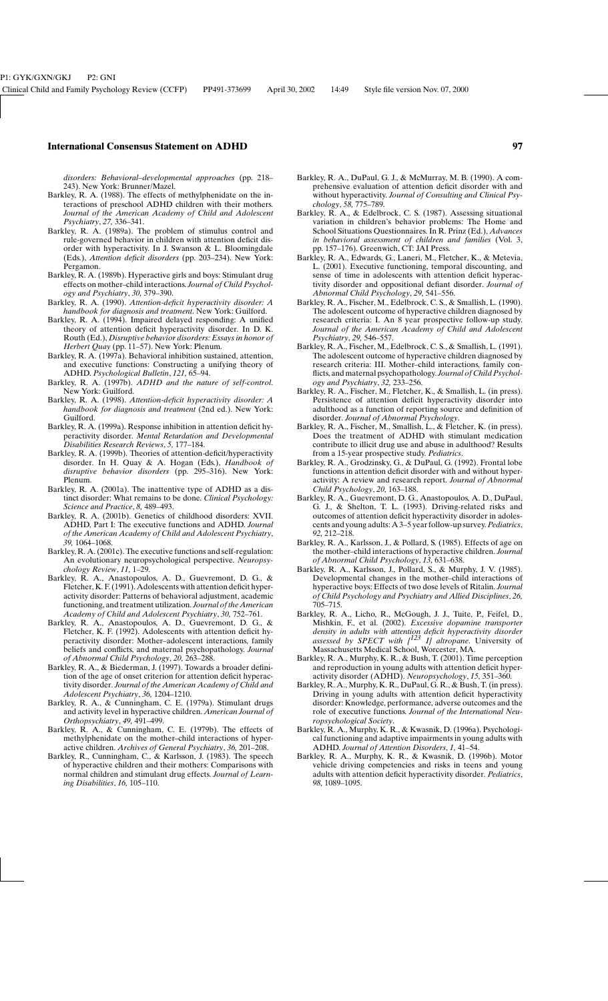*disorders: Behavioral–developmental approaches* (pp. 218– 243). New York: Brunner/Mazel.

- Barkley, R. A. (1988). The effects of methylphenidate on the interactions of preschool ADHD children with their mothers. *Journal of the American Academy of Child and Adolescent Psychiatry*, *27,* 336–341.
- Barkley, R. A. (1989a). The problem of stimulus control and rule-governed behavior in children with attention deficit disorder with hyperactivity. In J. Swanson & L. Bloomingdale (Eds.), *Attention deficit disorders* (pp. 203–234). New York: Pergamon.
- Barkley, R. A. (1989b). Hyperactive girls and boys: Stimulant drug effects on mother–child interactions. *Journal of Child Psychology and Psychiatry*, *30,* 379–390.
- Barkley, R. A. (1990). *Attention-deficit hyperactivity disorder: A handbook for diagnosis and treatment*. New York: Guilford.
- Barkley, R. A. (1994). Impaired delayed responding: A unified theory of attention deficit hyperactivity disorder. In D. K. Routh (Ed.), *Disruptive behavior disorders: Essays in honor of Herbert Quay* (pp. 11–57). New York: Plenum.
- Barkley, R. A. (1997a). Behavioral inhibition sustained, attention, and executive functions: Constructing a unifying theory of ADHD. *Psychological Bulletin*, *121,* 65–94.
- Barkley, R. A. (1997b). *ADHD and the nature of self-control*. New York: Guilford.
- Barkley, R. A. (1998). *Attention-deficit hyperactivity disorder: A handbook for diagnosis and treatment* (2nd ed.). New York: Guilford.
- Barkley, R. A. (1999a). Response inhibition in attention deficit hyperactivity disorder. *Mental Retardation and Developmental Disabilities Research Reviews*, *5,* 177–184.
- Barkley, R. A. (1999b). Theories of attention-deficit/hyperactivity disorder. In H. Quay & A. Hogan (Eds.), *Handbook of disruptive behavior disorders* (pp. 295–316). New York: Plenum.
- Barkley, R. A. (2001a). The inattentive type of ADHD as a distinct disorder: What remains to be done. *Clinical Psychology: Science and Practice*, *8,* 489–493.
- Barkley, R. A. (2001b). Genetics of childhood disorders: XVII. ADHD, Part I: The executive functions and ADHD. *Journal of the American Academy of Child and Adolescent Psychiatry*, *39,* 1064–1068.
- Barkley, R. A. (2001c). The executive functions and self-regulation: An evolutionary neuropsychological perspective. *Neuropsychology Review*, *11,* 1–29.
- Barkley, R. A., Anastopoulos, A. D., Guevremont, D. G., & Fletcher, K. F. (1991). Adolescents with attention deficit hyperactivity disorder: Patterns of behavioral adjustment, academic functioning, and treatment utilization. *Journal of the American Academy of Child and Adolescent Psychiatry*, *30,* 752–761.
- Barkley, R. A., Anastopoulos, A. D., Guevremont, D. G., & Fletcher, K. F. (1992). Adolescents with attention deficit hyperactivity disorder: Mother–adolescent interactions, family beliefs and conflicts, and maternal psychopathology. *Journal of Abnormal Child Psychology*, *20,* 263–288.
- Barkley, R. A., & Biederman, J. (1997). Towards a broader definition of the age of onset criterion for attention deficit hyperactivity disorder. *Journal of the American Academy of Child and Adolescent Psychiatry*, *36,* 1204–1210.
- Barkley, R. A., & Cunningham, C. E. (1979a). Stimulant drugs and activity level in hyperactive children. *American Journal of Orthopsychiatry*, *49,* 491–499.
- Barkley, R. A., & Cunningham, C. E. (1979b). The effects of methylphenidate on the mother–child interactions of hyperactive children. *Archives of General Psychiatry*, *36,* 201–208.
- Barkley, R., Cunningham, C., & Karlsson, J. (1983). The speech of hyperactive children and their mothers: Comparisons with normal children and stimulant drug effects. *Journal of Learning Disabilities*, *16,* 105–110.
- Barkley, R. A., DuPaul, G. J., & McMurray, M. B. (1990). A comprehensive evaluation of attention deficit disorder with and without hyperactivity. *Journal of Consulting and Clinical Psychology*, *58,* 775–789.
- Barkley, R. A., & Edelbrock, C. S. (1987). Assessing situational variation in children's behavior problems: The Home and School Situations Questionnaires. In R. Prinz (Ed.), *Advances in behavioral assessment of children and families* (Vol. 3, pp. 157–176). Greenwich, CT: JAI Press.
- Barkley, R. A., Edwards, G., Laneri, M., Fletcher, K., & Metevia, L. (2001). Executive functioning, temporal discounting, and sense of time in adolescents with attention deficit hyperactivity disorder and oppositional defiant disorder. *Journal of Abnormal Child Psychology*, *29,* 541–556.
- Barkley, R. A., Fischer, M., Edelbrock, C. S., & Smallish, L. (1990). The adolescent outcome of hyperactive children diagnosed by research criteria: I. An 8 year prospective follow-up study. *Journal of the American Academy of Child and Adolescent Psychiatry*, *29,* 546–557.
- Barkley, R. A., Fischer, M., Edelbrock, C. S., & Smallish, L. (1991). The adolescent outcome of hyperactive children diagnosed by research criteria: III. Mother–child interactions, family conflicts, and maternal psychopathology. *Journal of Child Psychology and Psychiatry*, *32,* 233–256.
- Barkley, R. A., Fischer, M., Fletcher, K., & Smallish, L. (in press). Persistence of attention deficit hyperactivity disorder into adulthood as a function of reporting source and definition of disorder. *Journal of Abnormal Psychology*.
- Barkley, R. A., Fischer, M., Smallish, L., & Fletcher, K. (in press). Does the treatment of ADHD with stimulant medication contribute to illicit drug use and abuse in adulthood? Results from a 15-year prospective study. *Pediatrics*.
- Barkley, R. A., Grodzinsky, G., & DuPaul, G. (1992). Frontal lobe functions in attention deficit disorder with and without hyperactivity: A review and research report. *Journal of Abnormal Child Psychology*, *20,* 163–188.
- Barkley, R. A., Guevremont, D. G., Anastopoulos, A. D., DuPaul, G. J., & Shelton, T. L. (1993). Driving-related risks and outcomes of attention deficit hyperactivity disorder in adolescents and young adults: A 3–5 year follow-up survey.*Pediatrics*, *92,* 212–218.
- Barkley, R. A., Karlsson, J., & Pollard, S. (1985). Effects of age on the mother–child interactions of hyperactive children. *Journal of Abnormal Child Psychology*, *13,* 631–638.
- Barkley, R. A., Karlsson, J., Pollard, S., & Murphy, J. V. (1985). Developmental changes in the mother–child interactions of hyperactive boys: Effects of two dose levels of Ritalin. *Journal of Child Psychology and Psychiatry and Allied Disciplines*, *26,* 705–715.
- Barkley, R. A., Licho, R., McGough, J. J., Tuite, P., Feifel, D., Mishkin, F., et al. (2002). *Excessive dopamine transporter density in adults with attention deficit hyperactivity disorder assessed by SPECT with [<sup>123</sup> I] altropane*. University of Massachusetts Medical School, Worcester, MA.
- Barkley, R. A., Murphy, K. R., & Bush, T. (2001). Time perception and reproduction in young adults with attention deficit hyperactivity disorder (ADHD). *Neuropsychology*, *15,* 351–360.
- Barkley, R. A., Murphy, K. R., DuPaul, G. R., & Bush, T. (in press). Driving in young adults with attention deficit hyperactivity disorder: Knowledge, performance, adverse outcomes and the role of executive functions. *Journal of the International Neuropsychological Society*.
- Barkley, R. A., Murphy, K. R., & Kwasnik, D. (1996a). Psychological functioning and adaptive impairments in young adults with ADHD. *Journal of Attention Disorders*, *1,* 41–54.
- Barkley, R. A., Murphy, K. R., & Kwasnik, D. (1996b). Motor vehicle driving competencies and risks in teens and young adults with attention deficit hyperactivity disorder. *Pediatrics*, *98,* 1089–1095.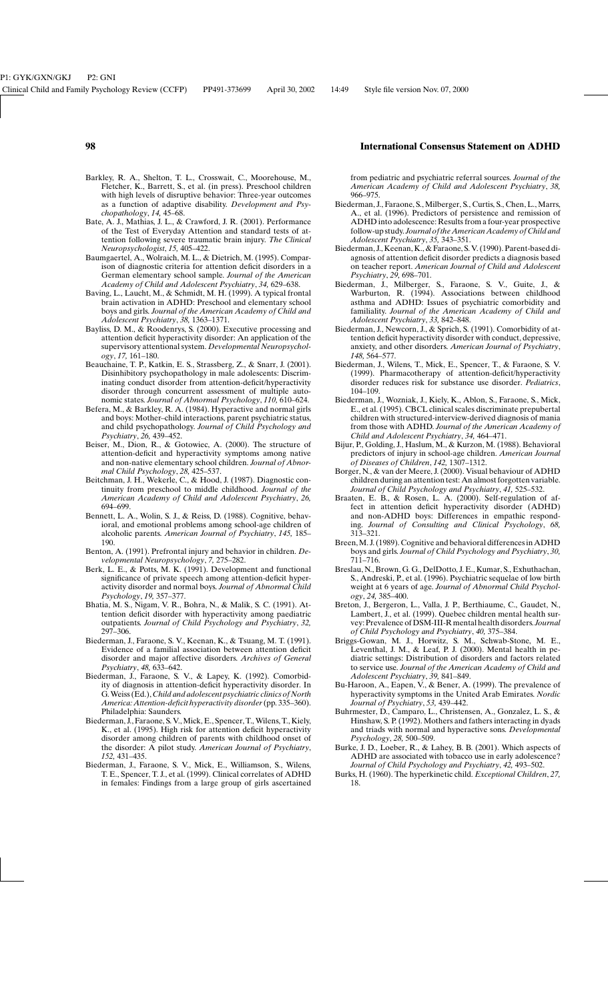- Barkley, R. A., Shelton, T. L., Crosswait, C., Moorehouse, M., Fletcher, K., Barrett, S., et al. (in press). Preschool children with high levels of disruptive behavior: Three-year outcomes as a function of adaptive disability. *Development and Psychopathology*, *14,* 45–68.
- Bate, A. J., Mathias, J. L., & Crawford, J. R. (2001). Performance of the Test of Everyday Attention and standard tests of attention following severe traumatic brain injury. *The Clinical Neuropsychologist*, *15,* 405–422.
- Baumgaertel, A., Wolraich, M. L., & Dietrich, M. (1995). Comparison of diagnostic criteria for attention deficit disorders in a German elementary school sample. *Journal of the American Academy of Child and Adolescent Psychiatry*, *34,* 629–638.
- Baving, L., Laucht, M., & Schmidt, M. H. (1999). A typical frontal brain activation in ADHD: Preschool and elementary school boys and girls. *Journal of the American Academy of Child and Adolescent Psychiatry*, *38,* 1363–1371.
- Bayliss, D. M., & Roodenrys, S. (2000). Executive processing and attention deficit hyperactivity disorder: An application of the supervisory attentional system. *Developmental Neuropsychology*, *17,* 161–180.
- Beauchaine, T. P., Katkin, E. S., Strassberg, Z., & Snarr, J. (2001). Disinhibitory psychopathology in male adolescents: Discriminating conduct disorder from attention-deficit/hyperactivity disorder through concurrent assessment of multiple autonomic states. *Journal of Abnormal Psychology*, *110,* 610–624.
- Befera, M., & Barkley, R. A. (1984). Hyperactive and normal girls and boys: Mother–child interactions, parent psychiatric status, and child psychopathology. *Journal of Child Psychology and Psychiatry*, *26,* 439–452.
- Beiser, M., Dion, R., & Gotowiec, A. (2000). The structure of attention-deficit and hyperactivity symptoms among native and non-native elementary school children. *Journal of Abnormal Child Psychology*, *28,* 425–537.
- Beitchman, J. H., Wekerle, C., & Hood, J. (1987). Diagnostic continuity from preschool to middle childhood. *Journal of the American Academy of Child and Adolescent Psychiatry*, *26,* 694–699.
- Bennett, L. A., Wolin, S. J., & Reiss, D. (1988). Cognitive, behavioral, and emotional problems among school-age children of alcoholic parents. *American Journal of Psychiatry*, *145,* 185– 190.
- Benton, A. (1991). Prefrontal injury and behavior in children. *Developmental Neuropsychology*, *7,* 275–282.
- Berk, L. E., & Potts, M. K. (1991). Development and functional significance of private speech among attention-deficit hyperactivity disorder and normal boys. *Journal of Abnormal Child Psychology*, *19,* 357–377.
- Bhatia, M. S., Nigam, V. R., Bohra, N., & Malik, S. C. (1991). Attention deficit disorder with hyperactivity among paediatric outpatients. *Journal of Child Psychology and Psychiatry*, *32,* 297–306.
- Biederman, J., Faraone, S. V., Keenan, K., & Tsuang, M. T. (1991). Evidence of a familial association between attention deficit disorder and major affective disorders. *Archives of General Psychiatry*, *48,* 633–642.
- Biederman, J., Faraone, S. V., & Lapey, K. (1992). Comorbidity of diagnosis in attention-deficit hyperactivity disorder. In G. Weiss (Ed.),*Child and adolescent psychiatric clinics of North America: Attention-deficit hyperactivity disorder*(pp. 335–360). Philadelphia: Saunders.
- Biederman, J., Faraone, S. V., Mick, E., Spencer, T., Wilens, T., Kiely, K., et al. (1995). High risk for attention deficit hyperactivity disorder among children of parents with childhood onset of the disorder: A pilot study. *American Journal of Psychiatry*, *152,* 431–435.
- Biederman, J., Faraone, S. V., Mick, E., Williamson, S., Wilens, T. E., Spencer, T. J., et al. (1999). Clinical correlates of ADHD in females: Findings from a large group of girls ascertained

from pediatric and psychiatric referral sources. *Journal of the American Academy of Child and Adolescent Psychiatry*, *38,* 966–975.

- Biederman, J., Faraone, S., Milberger, S., Curtis, S., Chen, L., Marrs, A., et al. (1996). Predictors of persistence and remission of ADHD into adolescence: Results from a four-year prospective follow-up study. *Journal of the American Academy of Child and Adolescent Psychiatry*, *35,* 343–351.
- Biederman, J., Keenan, K., & Faraone, S. V. (1990). Parent-based diagnosis of attention deficit disorder predicts a diagnosis based on teacher report. *American Journal of Child and Adolescent Psychiatry*, *29,* 698–701.
- Biederman, J., Milberger, S., Faraone, S. V., Guite, J., & Warburton, R. (1994). Associations between childhood asthma and ADHD: Issues of psychiatric comorbidity and familiality. *Journal of the American Academy of Child and Adolescent Psychiatry*, *33,* 842–848.
- Biederman, J., Newcorn, J., & Sprich, S. (1991). Comorbidity of attention deficit hyperactivity disorder with conduct, depressive, anxiety, and other disorders. *American Journal of Psychiatry*, *148,* 564–577.
- Biederman, J., Wilens, T., Mick, E., Spencer, T., & Faraone, S. V. (1999). Pharmacotherapy of attention-deficit/hyperactivity disorder reduces risk for substance use disorder. *Pediatrics*, 104–109.
- Biederman, J., Wozniak, J., Kiely, K., Ablon, S., Faraone, S., Mick, E., et al. (1995). CBCL clinical scales discriminate prepubertal children with structured-interview-derived diagnosis of mania from those with ADHD. *Journal of the American Academy of Child and Adolescent Psychiatry*, *34,* 464–471.
- Bijur, P., Golding, J., Haslum, M., & Kurzon, M. (1988). Behavioral predictors of injury in school-age children. *American Journal of Diseases of Children*, *142,* 1307–1312.
- Borger, N., & van der Meere, J. (2000). Visual behaviour of ADHD children during an attention test: An almost forgotten variable. *Journal of Child Psychology and Psychiatry*, *41,* 525–532.
- Braaten, E. B., & Rosen, L. A. (2000). Self-regulation of affect in attention deficit hyperactivity disorder (ADHD) and non-ADHD boys: Differences in empathic responding. *Journal of Consulting and Clinical Psychology*, *68,* 313–321.
- Breen, M. J. (1989). Cognitive and behavioral differences in ADHD boys and girls. *Journal of Child Psychology and Psychiatry*, *30,* 711–716.
- Breslau, N., Brown, G. G., DelDotto, J. E., Kumar, S., Exhuthachan, S., Andreski, P., et al. (1996). Psychiatric sequelae of low birth weight at 6 years of age. *Journal of Abnormal Child Psychology*, *24,* 385–400.
- Breton, J., Bergeron, L., Valla, J. P., Berthiaume, C., Gaudet, N., Lambert, J., et al. (1999). Quebec children mental health survey: Prevalence of DSM-III-R mental health disorders. *Journal of Child Psychology and Psychiatry*, *40,* 375–384.
- Briggs-Gowan, M. J., Horwitz, S. M., Schwab-Stone, M. E., Leventhal, J. M., & Leaf, P. J. (2000). Mental health in pediatric settings: Distribution of disorders and factors related to service use. *Journal of the American Academy of Child and Adolescent Psychiatry*, *39,* 841–849.
- Bu-Haroon, A., Eapen, V., & Bener, A. (1999). The prevalence of hyperactivity symptoms in the United Arab Emirates. *Nordic Journal of Psychiatry*, *53,* 439–442.
- Buhrmester, D., Camparo, L., Christensen, A., Gonzalez, L. S., & Hinshaw, S. P. (1992). Mothers and fathers interacting in dyads and triads with normal and hyperactive sons. *Developmental Psychology*, *28,* 500–509.
- Burke, J. D., Loeber, R., & Lahey, B. B. (2001). Which aspects of ADHD are associated with tobacco use in early adolescence? *Journal of Child Psychology and Psychiatry*, *42,* 493–502.
- Burks, H. (1960). The hyperkinetic child. *Exceptional Children*, *27,* 18.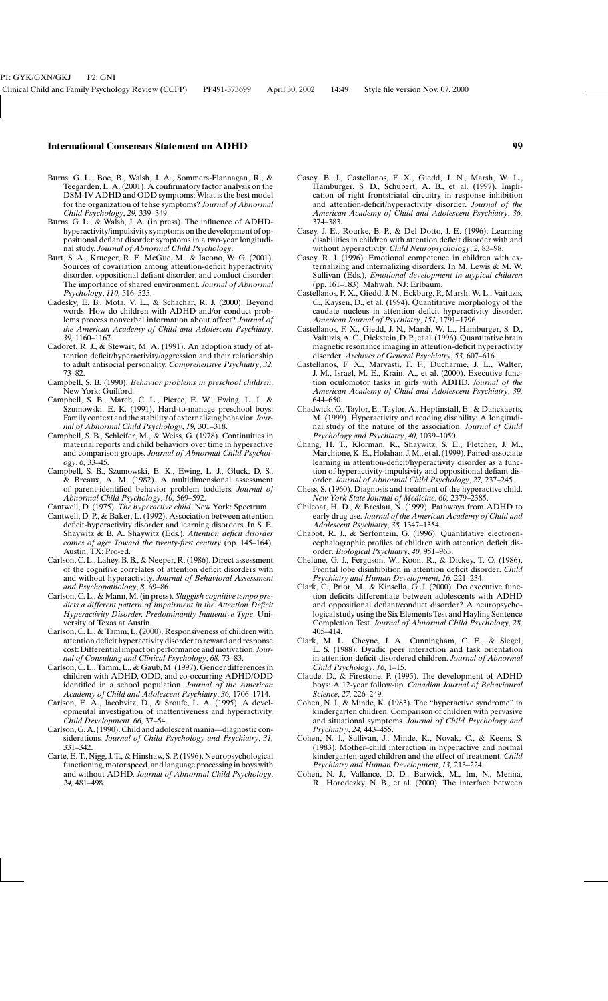- Burns, G. L., Boe, B., Walsh, J. A., Sommers-Flannagan, R., & Teegarden, L. A. (2001). A confirmatory factor analysis on the DSM-IV ADHD and ODD symptoms: What is the best model for the organization of tehse symptoms? *Journal of Abnormal Child Psychology*, *29,* 339–349.
- Burns, G. L., & Walsh, J. A. (in press). The influence of ADHDhyperactivity/impulsivity symptoms on the development of oppositional defiant disorder symptoms in a two-year longitudinal study. *Journal of Abnormal Child Psychology*.
- Burt, S. A., Krueger, R. F., McGue, M., & Iacono, W. G. (2001). Sources of covariation among attention-deficit hyperactivity disorder, oppositional defiant disorder, and conduct disorder: The importance of shared environment. *Journal of Abnormal Psychology*, *110,* 516–525.
- Cadesky, E. B., Mota, V. L., & Schachar, R. J. (2000). Beyond words: How do children with ADHD and/or conduct problems process nonverbal information about affect? *Journal of the American Academy of Child and Adolescent Psychiatry*, *39,* 1160–1167.
- Cadoret, R. J., & Stewart, M. A. (1991). An adoption study of attention deficit/hyperactivity/aggression and their relationship to adult antisocial personality. *Comprehensive Psychiatry*, *32,* 73–82.
- Campbell, S. B. (1990). *Behavior problems in preschool children*. New York: Guilford.
- Campbell, S. B., March, C. L., Pierce, E. W., Ewing, L. J., & Szumowski, E. K. (1991). Hard-to-manage preschool boys: Family context and the stability of externalizing behavior. *Journal of Abnormal Child Psychology*, *19,* 301–318.
- Campbell, S. B., Schleifer, M., & Weiss, G. (1978). Continuities in maternal reports and child behaviors over time in hyperactive and comparison groups. *Journal of Abnormal Child Psychology*, *6,* 33–45.
- Campbell, S. B., Szumowski, E. K., Ewing, L. J., Gluck, D. S., & Breaux, A. M. (1982). A multidimensional assessment of parent-identified behavior problem toddlers. *Journal of Abnormal Child Psychology*, *10,* 569–592.
- Cantwell, D. (1975). *The hyperactive child*. New York: Spectrum.
- Cantwell, D. P., & Baker, L. (1992). Association between attention deficit-hyperactivity disorder and learning disorders. In S. E. Shaywitz & B. A. Shaywitz (Eds.), *Attention deficit disorder comes of age: Toward the twenty-first century* (pp. 145–164). Austin, TX: Pro-ed.
- Carlson, C. L., Lahey, B. B., & Neeper, R. (1986). Direct assessment of the cognitive correlates of attention deficit disorders with and without hyperactivity. *Journal of Behavioral Assessment and Psychopathology*, *8,* 69–86.
- Carlson, C. L., & Mann, M. (in press). *Sluggish cognitive tempo predicts a different pattern of impairment in the Attention Deficit Hyperactivity Disorder, Predominantly Inattentive Type*. University of Texas at Austin.
- Carlson, C. L., & Tamm, L. (2000). Responsiveness of children with attention deficit hyperactivity disorder to reward and response cost: Differential impact on performance and motivation. *Journal of Consulting and Clinical Psychology*, *68,* 73–83.
- Carlson, C. L., Tamm, L., & Gaub, M. (1997). Gender differences in children with ADHD, ODD, and co-occurring ADHD/ODD identified in a school population. *Journal of the American Academy of Child and Adolescent Psychiatry*, *36,* 1706–1714.
- Carlson, E. A., Jacobvitz, D., & Sroufe, L. A. (1995). A developmental investigation of inattentiveness and hyperactivity. *Child Development*, *66,* 37–54.
- Carlson, G. A. (1990). Child and adolescent mania—diagnostic considerations. *Journal of Child Psychology and Psychiatry*, *31,* 331–342.
- Carte, E. T., Nigg, J. T., & Hinshaw, S. P. (1996). Neuropsychological functioning, motor speed, and language processing in boys with and without ADHD. *Journal of Abnormal Child Psychology*, *24,* 481–498.
- Casey, B. J., Castellanos, F. X., Giedd, J. N., Marsh, W. L., Hamburger, S. D., Schubert, A. B., et al. (1997). Implication of right frontstriatal circuitry in response inhibition and attention-deficit/hyperactivity disorder. *Journal of the American Academy of Child and Adolescent Psychiatry*, *36,* 374–383.
- Casey, J. E., Rourke, B. P., & Del Dotto, J. E. (1996). Learning disabilities in children with attention deficit disorder with and without hyperactivity. *Child Neuropsychology*, *2,* 83–98.
- Casey, R. J. (1996). Emotional competence in children with externalizing and internalizing disorders. In M. Lewis & M. W. Sullivan (Eds.), *Emotional development in atypical children* (pp. 161–183). Mahwah, NJ: Erlbaum.
- Castellanos, F. X., Giedd, J. N., Eckburg, P., Marsh, W. L., Vaituzis, C., Kaysen, D., et al. (1994). Quantitative morphology of the caudate nucleus in attention deficit hyperactivity disorder. *American Journal of Psychiatry*, *151,* 1791–1796.
- Castellanos, F. X., Giedd, J. N., Marsh, W. L., Hamburger, S. D., Vaituzis, A. C., Dickstein, D. P., et al. (1996). Quantitative brain magnetic resonance imaging in attention-deficit hyperactivity disorder. *Archives of General Psychiatry*, *53,* 607–616.
- Castellanos, F. X., Marvasti, F. F., Ducharme, J. L., Walter, J. M., Israel, M. E., Krain, A., et al. (2000). Executive function oculomotor tasks in girls with ADHD. *Journal of the American Academy of Child and Adolescent Psychiatry*, *39,* 644–650.
- Chadwick, O., Taylor, E., Taylor, A., Heptinstall, E., & Danckaerts, M. (1999). Hyperactivity and reading disability: A longitudinal study of the nature of the association. *Journal of Child Psychology and Psychiatry*, *40,* 1039–1050.
- Chang, H. T., Klorman, R., Shaywitz, S. E., Fletcher, J. M., Marchione, K. E., Holahan, J. M., et al. (1999). Paired-associate learning in attention-deficit/hyperactivity disorder as a function of hyperactivity-impulsivity and oppositional defiant disorder. *Journal of Abnormal Child Psychology*, *27,* 237–245.
- Chess, S. (1960). Diagnosis and treatment of the hyperactive child. *New York State Journal of Medicine*, *60,* 2379–2385.
- Chilcoat, H. D., & Breslau, N. (1999). Pathways from ADHD to early drug use. *Journal of the American Academy of Child and Adolescent Psychiatry*, *38,* 1347–1354.
- Chabot, R. J., & Serfontein, G. (1996). Quantitative electroencephalographic profiles of children with attention deficit disorder. *Biological Psychiatry*, *40,* 951–963.
- Chelune, G. J., Ferguson, W., Koon, R., & Dickey, T. O. (1986). Frontal lobe disinhibition in attention deficit disorder. *Child Psychiatry and Human Development*, *16,* 221–234.
- Clark, C., Prior, M., & Kinsella, G. J. (2000). Do executive function deficits differentiate between adolescents with ADHD and oppositional defiant/conduct disorder? A neuropsychological study using the Six Elements Test and Hayling Sentence Completion Test. *Journal of Abnormal Child Psychology*, *28,* 405–414.
- Clark, M. L., Cheyne, J. A., Cunningham, C. E., & Siegel, L. S. (1988). Dyadic peer interaction and task orientation in attention-deficit-disordered children. *Journal of Abnormal Child Psychology*, *16,* 1–15.
- Claude, D., & Firestone, P. (1995). The development of ADHD boys: A 12-year follow-up. *Canadian Journal of Behavioural Science*, *27,* 226–249.
- Cohen, N. J., & Minde, K. (1983). The "hyperactive syndrome" in kindergarten children: Comparison of children with pervasive and situational symptoms. *Journal of Child Psychology and Psychiatry*, *24,* 443–455.
- Cohen, N. J., Sullivan, J., Minde, K., Novak, C., & Keens, S. (1983). Mother–child interaction in hyperactive and normal kindergarten-aged children and the effect of treatment. *Child Psychiatry and Human Development*, *13,* 213–224.
- Cohen, N. J., Vallance, D. D., Barwick, M., Im, N., Menna, R., Horodezky, N. B., et al. (2000). The interface between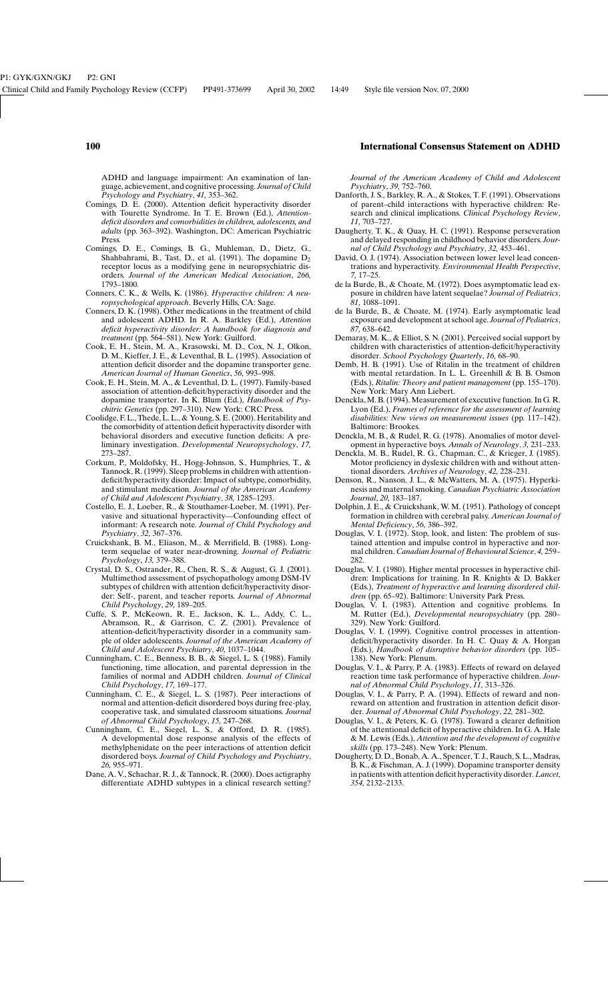ADHD and language impairment: An examination of language, achievement, and cognitive processing. *Journal of Child Psychology and Psychiatry*, *41,* 353–362.

- Comings, D. E. (2000). Attention deficit hyperactivity disorder with Tourette Syndrome. In T. E. Brown (Ed.), *Attentiondeficit disorders and comorbidities in children, adolescents, and adults* (pp. 363–392). Washington, DC: American Psychiatric Press.
- Comings, D. E., Comings, B. G., Muhleman, D., Dietz, G., Shahbahrami, B., Tast, D., et al.  $(1991)$ . The dopamine  $D_2$ receptor locus as a modifying gene in neuropsychiatric disorders. *Journal of the American Medical Association*, *266,* 1793–1800.
- Conners, C. K., & Wells, K. (1986). *Hyperactive children: A neuropsychological approach*. Beverly Hills, CA: Sage.
- Conners, D. K. (1998). Other medications in the treatment of child and adolescent ADHD. In R. A. Barkley (Ed.), *Attention deficit hyperactivity disorder: A handbook for diagnosis and treatment* (pp. 564–581). New York: Guilford.
- Cook, E. H., Stein, M. A., Krasowski, M. D., Cox, N. J., Olkon, D. M., Kieffer, J. E., & Leventhal, B. L. (1995). Association of attention deficit disorder and the dopamine transporter gene. *American Journal of Human Genetics*, *56,* 993–998.
- Cook, E. H., Stein, M. A., & Leventhal, D. L. (1997). Family-based association of attention-deficit/hyperactivity disorder and the dopamine transporter. In K. Blum (Ed.), *Handbook of Psychitric Genetics* (pp. 297–310). New York: CRC Press.
- Coolidge, F. L., Thede, L. L., & Young, S. E. (2000). Heritability and the comorbidity of attention deficit hyperactivity disorder with behavioral disorders and executive function deficits: A preliminary investigation. *Developmental Neuropsychology*, *17,* 273–287.
- Corkum, P., Moldofsky, H., Hogg-Johnson, S., Humphries, T., & Tannock, R. (1999). Sleep problems in children with attentiondeficit/hyperactivity disorder: Impact of subtype, comorbidity, and stimulant medication. *Journal of the American Academy of Child and Adolescent Psychiatry*, *38,* 1285–1293.
- Costello, E. J., Loeber, R., & Stouthamer-Loeber, M. (1991). Pervasive and situational hyperactivity—Confounding effect of informant: A research note. *Journal of Child Psychology and Psychiatry*, *32,* 367–376.
- Cruickshank, B. M., Eliason, M., & Merrifield, B. (1988). Longterm sequelae of water near-drowning. *Journal of Pediatric Psychology*, *13,* 379–388.
- Crystal, D. S., Ostrander, R., Chen, R. S., & August, G. J. (2001). Multimethod assessment of psychopathology among DSM-IV subtypes of children with attention deficit/hyperactivity disorder: Self-, parent, and teacher reports. *Journal of Abnormal Child Psychology*, *29,* 189–205.
- Cuffe, S. P., McKeown, R. E., Jackson, K. L., Addy, C. L., Abramson, R., & Garrison, C. Z. (2001). Prevalence of attention-deficit/hyperactivity disorder in a community sample of older adolescents. *Journal of the American Academy of Child and Adolescent Psychiatry*, *40,* 1037–1044.
- Cunningham, C. E., Benness, B. B., & Siegel, L. S. (1988). Family functioning, time allocation, and parental depression in the families of normal and ADDH children. *Journal of Clinical Child Psychology*, *17,* 169–177.
- Cunningham, C. E., & Siegel, L. S. (1987). Peer interactions of normal and attention-deficit disordered boys during free-play, cooperative task, and simulated classroom situations. *Journal of Abnormal Child Psychology*, *15,* 247–268.
- Cunningham, C. E., Siegel, L. S., & Offord, D. R. (1985). A developmental dose response analysis of the effects of methylphenidate on the peer interactions of attention deficit disordered boys. *Journal of Child Psychology and Psychiatry*, *26,* 955–971.
- Dane, A. V., Schachar, R. J., & Tannock, R. (2000). Does actigraphy differentiate ADHD subtypes in a clinical research setting?

*Journal of the American Academy of Child and Adolescent Psychiatry*, *39,* 752–760.

- Danforth, J. S., Barkley, R. A., & Stokes, T. F. (1991). Observations of parent–child interactions with hyperactive children: Research and clinical implications. *Clinical Psychology Review*, *11,* 703–727.
- Daugherty, T. K., & Quay, H. C. (1991). Response perseveration and delayed responding in childhood behavior disorders. *Journal of Child Psychology and Psychiatry*, *32,* 453–461.
- David, O. J. (1974). Association between lower level lead concentrations and hyperactivity. *Environmental Health Perspective*, *7,* 17–25.
- de la Burde, B., & Choate, M. (1972). Does asymptomatic lead exposure in children have latent sequelae? *Journal of Pediatrics*, *81,* 1088–1091.
- de la Burde, B., & Choate, M. (1974). Early asymptomatic lead exposure and development at school age. *Journal of Pediatrics*, *87,* 638–642.
- Demaray, M. K., & Elliot, S. N. (2001). Perceived social support by children with characteristics of attention-deficit/hyperactivity disorder. *School Psychology Quarterly*, *16,* 68–90.
- Demb, H. B. (1991). Use of Ritalin in the treatment of children with mental retardation. In L. L. Greenhill & B. B. Osmon (Eds.), *Ritalin: Theory and patient management* (pp. 155–170). New York: Mary Ann Liebert.
- Denckla, M. B. (1994). Measurement of executive function. In G. R. Lyon (Ed.), *Frames of reference for the assessment of learning disabilities: New views on measurement issues* (pp. 117–142). Baltimore: Brookes.
- Denckla, M. B., & Rudel, R. G. (1978). Anomalies of motor development in hyperactive boys. *Annals of Neurology*, *3,* 231–233.
- Denckla, M. B., Rudel, R. G., Chapman, C., & Krieger, J. (1985). Motor proficiency in dyslexic children with and without attentional disorders. *Archives of Neurology*, *42,* 228–231.
- Denson, R., Nanson, J. L., & McWatters, M. A. (1975). Hyperkinesis and maternal smoking. *Canadian Psychiatric Association Journal*, *20,* 183–187.
- Dolphin, J. E., & Cruickshank, W. M. (1951). Pathology of concept formation in children with cerebral palsy. *American Journal of Mental Deficiency*, *56,* 386–392.
- Douglas, V. I. (1972). Stop, look, and listen: The problem of sustained attention and impulse control in hyperactive and normal children. *Canadian Journal of Behavioural Science*, *4,* 259– 282.
- Douglas, V. I. (1980). Higher mental processes in hyperactive children: Implications for training. In R. Knights & D. Bakker (Eds.), *Treatment of hyperactive and learning disordered children* (pp. 65–92). Baltimore: University Park Press.
- Douglas, V. I. (1983). Attention and cognitive problems. In M. Rutter (Ed.), *Developmental neuropsychiatry* (pp. 280– 329). New York: Guilford.
- Douglas, V. I. (1999). Cognitive control processes in attentiondeficit/hyperactivity disorder. In H. C. Quay & A. Horgan (Eds.), *Handbook of disruptive behavior disorders* (pp. 105– 138). New York: Plenum.
- Douglas, V. I., & Parry, P. A. (1983). Effects of reward on delayed reaction time task performance of hyperactive children. *Journal of Abnormal Child Psychology*, *11,* 313–326.
- Douglas, V. I., & Parry, P. A. (1994). Effects of reward and nonreward on attention and frustration in attention deficit disorder. *Journal of Abnormal Child Psychology*, *22,* 281–302.
- Douglas, V. I., & Peters, K. G. (1978). Toward a clearer definition of the attentional deficit of hyperactive children. In G. A. Hale & M. Lewis (Eds.), *Attention and the development of cognitive skills* (pp. 173–248). New York: Plenum.
- Dougherty, D. D., Bonab, A. A., Spencer, T. J., Rauch, S. L., Madras, B. K., & Fischman, A. J. (1999). Dopamine transporter density in patients with attention deficit hyperactivity disorder.*Lancet*, *354,* 2132–2133.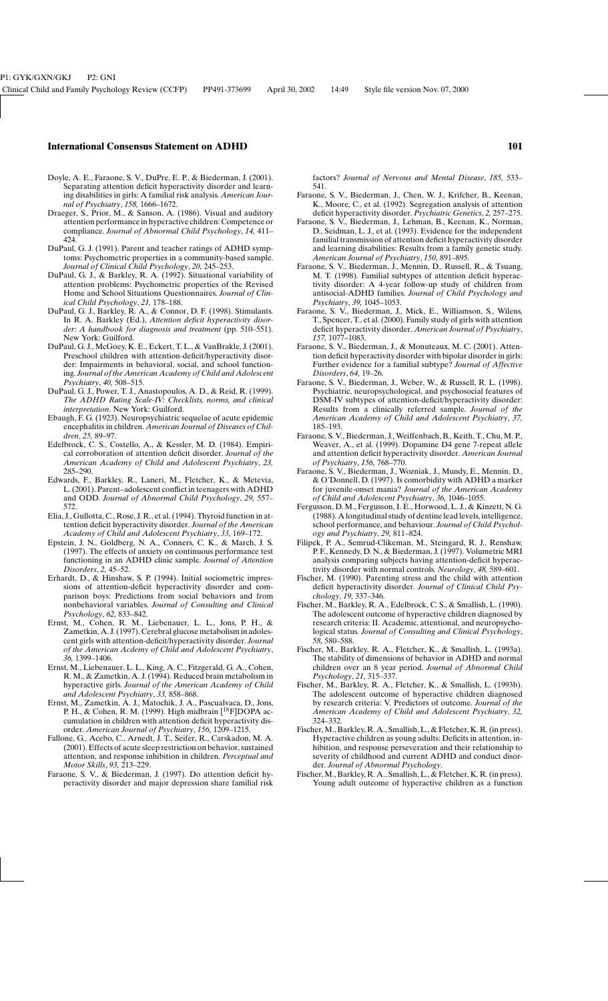- Doyle, A. E., Faraone, S. V., DuPre, E. P., & Biederman, J. (2001). Separating attention deficit hyperactivity disorder and learning disabilities in girls: A familial risk analysis. *American Journal of Psychiatry*, *158,* 1666–1672.
- Draeger, S., Prior, M., & Sanson, A. (1986). Visual and auditory attention performance in hyperactive children: Competence or compliance. *Journal of Abnormal Child Psychology*, *14,* 411– 424.
- DuPaul, G. J. (1991). Parent and teacher ratings of ADHD symptoms: Psychometric properties in a community-based sample. *Journal of Clinical Child Psychology*, *20,* 245–253.
- DuPaul, G. J., & Barkley, R. A. (1992). Situational variability of attention problems: Psychometric properties of the Revised Home and School Situations Questionnaires. *Journal of Clinical Child Psychology*, *21,* 178–188.
- DuPaul, G. J., Barkley, R. A., & Connor, D. F. (1998). Stimulants. In R. A. Barkley (Ed.), *Attention deficit hyperactivity disorder: A handbook for diagnosis and treatment* (pp. 510–551). New York: Guilford.
- DuPaul, G. J., McGoey, K. E., Eckert, T. L., & VanBrakle, J. (2001). Preschool children with attention-deficit/hyperactivity disorder: Impairments in behavioral, social, and school functioning. *Journal of the American Academy of Child and Adolescent Psychiatry*, *40,* 508–515.
- DuPaul, G. J., Power, T. J., Anastopoulos, A. D., & Reid, R. (1999). *The ADHD Rating Scale-IV: Checklists, norms, and clinical interpretation*. New York: Guilford.
- Ebaugh, F. G. (1923). Neuropsychiatric sequelae of acute epidemic encephalitis in children. *American Journal of Diseases of Children*, *25,* 89–97.
- Edelbrock, C. S., Costello, A., & Kessler, M. D. (1984). Empirical corroboration of attention deficit disorder. *Journal of the American Academy of Child and Adolescent Psychiatry*, *23,* 285–290.
- Edwards, F., Barkley, R., Laneri, M., Fletcher, K., & Metevia, L. (2001). Parent–adolescent conflict in teenagers with ADHD and ODD. *Journal of Abnormal Child Psychology*, *29,* 557– 572.
- Elia, J., Gullotta, C., Rose, J. R., et al. (1994). Thyroid function in attention deficit hyperactivity disorder. *Journal of the American Academy of Child and Adolescent Psychiatry*, *33,* 169–172.
- Epstein, J. N., Goldberg, N. A., Conners, C. K., & March, J. S. (1997). The effects of anxiety on continuous performance test functioning in an ADHD clinic sample. *Journal of Attention Disorders*, *2,* 45–52.
- Erhardt, D., & Hinshaw, S. P. (1994). Initial sociometric impressions of attention-deficit hyperactivity disorder and comparison boys: Predictions from social behaviors and from nonbehavioral variables. *Journal of Consulting and Clinical Psychology*, *62,* 833–842.
- Ernst, M., Cohen, R. M., Liebenauer, L. L., Jons, P. H., & Zametkin, A. J. (1997). Cerebral glucose metabolism in adolescent girls with attention-deficit/hyperactivity disorder. *Journal of the American Acdemy of Child and Adolescent Psychiatry*, *36,* 1399–1406.
- Ernst, M., Liebenauer, L. L., King, A. C., Fitzgerald, G. A., Cohen, R. M., & Zametkin, A. J. (1994). Reduced brain metabolism in hyperactive girls. *Journal of the American Academy of Child and Adolescent Psychiatry*, *33,* 858–868.
- Ernst, M., Zametkin, A. J., Matochik, J. A., Pascualvaca, D., Jons, P. H., & Cohen, R. M. (1999). High midbrain  $[{}^{18}F]$ DOPA accumulation in children with attention deficit hyperactivity disorder. *American Journal of Psychiatry*, *156,* 1209–1215.
- Fallone, G., Acebo, C., Arnedt, J. T., Seifer, R., Carskadon, M. A. (2001). Effects of acute sleep restriction on behavior, sustained attention, and response inhibition in children. *Perceptual and Motor Skills*, *93,* 213–229.
- Faraone, S. V., & Biederman, J. (1997). Do attention deficit hyperactivity disorder and major depression share familial risk

factors? *Journal of Nervous and Mental Disease*, *185,* 533– 541.

- Faraone, S. V., Biederman, J., Chen, W. J., Krifcher, B., Keenan, K., Moore, C., et al. (1992). Segregation analysis of attention deficit hyperactivity disorder. *Psychiatric Genetics*, *2,* 257–275.
- Faraone, S. V., Biederman, J., Lehman, B., Keenan, K., Norman, D., Seidman, L. J., et al. (1993). Evidence for the independent familial transmission of attention deficit hyperactivity disorder and learning disabilities: Results from a family genetic study. *American Journal of Psychiatry*, *150,* 891–895.
- Faraone, S. V., Biederman, J., Mennin, D., Russell, R., & Tsuang, M. T. (1998). Familial subtypes of attention deficit hyperactivity disorder: A 4-year follow-up study of children from antisocial-ADHD families. *Journal of Child Psychology and Psychiatry*, *39,* 1045–1053.
- Faraone, S. V., Biederman, J., Mick, E., Williamson, S., Wilens, T., Spencer, T., et al. (2000). Family study of girls with attention deficit hyperactivity disorder. *American Journal of Psychiatry*, *157,* 1077–1083.
- Faraone, S. V., Biederman, J., & Monuteaux, M. C. (2001). Attention deficit hyperactivity disorder with bipolar disorder in girls: Further evidence for a familial subtype? *Journal of Affective Disorders*, *64,* 19–26.
- Faraone, S. V., Biederman, J., Weber, W., & Russell, R. L. (1998). Psychiatric, neuropsychological, and psychosocial features of DSM-IV subtypes of attention-deficit/hyperactivity disorder: Results from a clinically referred sample. *Journal of the American Academy of Child and Adolescent Psychiatry*, *37,* 185–193.
- Faraone, S. V., Biederman, J., Weiffenbach, B., Keith, T., Chu, M. P., Weaver, A., et al. (1999). Dopamine D4 gene 7-repeat allele and attention deficit hyperactivity disorder. *American Journal of Psychiatry*, *156,* 768–770.
- Faraone, S. V., Biederman, J., Wozniak, J., Mundy, E., Mennin, D., & O'Donnell, D. (1997). Is comorbidity with ADHD a marker for juvenile-onset mania? *Journal of the American Academy of Child and Adolescent Psychiatry*, *36,* 1046–1055.
- Fergusson, D. M., Fergusson, I. E., Horwood, L. J., & Kinzett, N. G. (1988). A longitudinal study of dentine lead levels, intelligence, school performance, and behaviour. *Journal of Child Psychology and Psychiatry*, *29,* 811–824.
- Filipek, P. A., Semrud-Clikeman, M., Steingard, R. J., Renshaw, P. F., Kennedy, D. N., & Biederman, J. (1997). Volumetric MRI analysis comparing subjects having attention-deficit hyperactivity disorder with normal controls. *Neurology*, *48,* 589–601.
- Fischer, M. (1990). Parenting stress and the child with attention deficit hyperactivity disorder. *Journal of Clinical Child Psychology*, *19,* 337–346.
- Fischer, M., Barkley, R. A., Edelbrock, C. S., & Smallish, L. (1990). The adolescent outcome of hyperactive children diagnosed by research criteria: II. Academic, attentional, and neuropsychological status. *Journal of Consulting and Clinical Psychology*, *58,* 580–588.
- Fischer, M., Barkley, R. A., Fletcher, K., & Smallish, L. (1993a). The stability of dimensions of behavior in ADHD and normal children over an 8 year period. *Journal of Abnormal Child Psychology*, *21,* 315–337.
- Fischer, M., Barkley, R. A., Fletcher, K., & Smallish, L. (1993b). The adolescent outcome of hyperactive children diagnosed by research criteria: V. Predictors of outcome. *Journal of the American Academy of Child and Adolescent Psychiatry*, *32,* 324–332.
- Fischer, M., Barkley, R. A., Smallish, L., & Fletcher, K. R. (in press). Hyperactive children as young adults: Deficits in attention, inhibition, and response perseveration and their relationship to severity of childhood and current ADHD and conduct disorder. *Journal of Abnormal Psychology*.
- Fischer, M., Barkley, R. A., Smallish, L., & Fletcher, K. R. (in press). Young adult outcome of hyperactive children as a function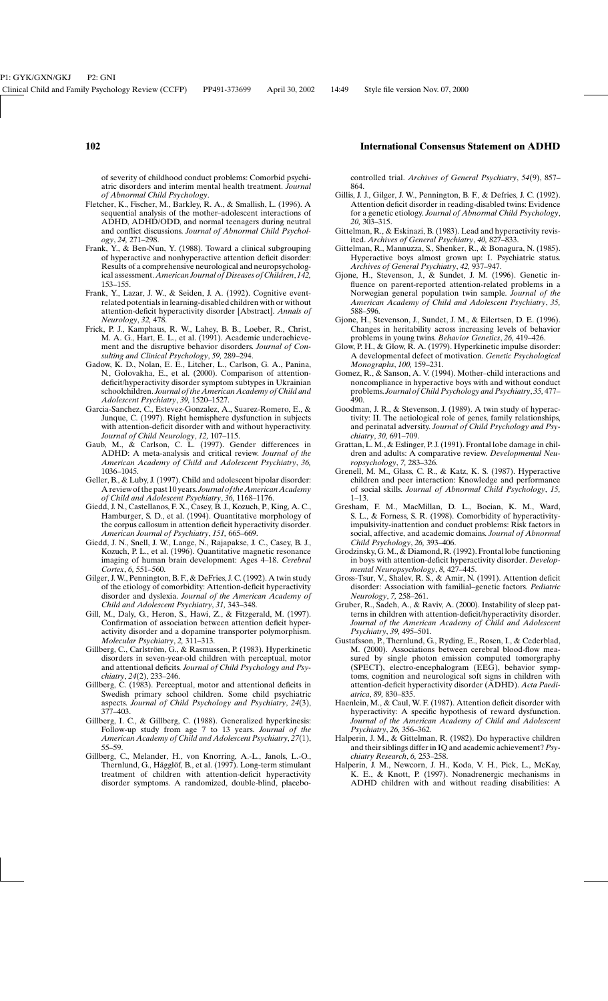of severity of childhood conduct problems: Comorbid psychiatric disorders and interim mental health treatment. *Journal of Abnormal Child Psychology*.

- Fletcher, K., Fischer, M., Barkley, R. A., & Smallish, L. (1996). A sequential analysis of the mother–adolescent interactions of ADHD, ADHD/ODD, and normal teenagers during neutral and conflict discussions. *Journal of Abnormal Child Psychology*, *24,* 271–298.
- Frank, Y., & Ben-Nun, Y. (1988). Toward a clinical subgrouping of hyperactive and nonhyperactive attention deficit disorder: Results of a comprehensive neurological and neuropsychological assessment. *American Journal of Diseases of Children*, *142,* 153–155.
- Frank, Y., Lazar, J. W., & Seiden, J. A. (1992). Cognitive eventrelated potentials in learning-disabled children with or without attention-deficit hyperactivity disorder [Abstract]. *Annals of Neurology*, *32,* 478.
- Frick, P. J., Kamphaus, R. W., Lahey, B. B., Loeber, R., Christ, M. A. G., Hart, E. L., et al. (1991). Academic underachievement and the disruptive behavior disorders. *Journal of Consulting and Clinical Psychology*, *59,* 289–294.
- Gadow, K. D., Nolan, E. E., Litcher, L., Carlson, G. A., Panina, N., Golovakha, E., et al. (2000). Comparison of attentiondeficit/hyperactivity disorder symptom subtypes in Ukrainian schoolchildren. *Journal of the American Academy of Child and Adolescent Psychiatry*, *39,* 1520–1527.
- Garcia-Sanchez, C., Estevez-Gonzalez, A., Suarez-Romero, E., & Junque, C. (1997). Right hemisphere dysfunction in subjects with attention-deficit disorder with and without hyperactivity. *Journal of Child Neurology*, *12,* 107–115.
- Gaub, M., & Carlson, C. L. (1997). Gender differences in ADHD: A meta-analysis and critical review. *Journal of the American Academy of Child and Adolescent Psychiatry*, *36,* 1036–1045.
- Geller, B., & Luby, J. (1997). Child and adolescent bipolar disorder: A review of the past 10 years. *Journal of the American Academy of Child and Adolescent Psychiatry*, *36,* 1168–1176.
- Giedd, J. N., Castellanos, F. X., Casey, B. J., Kozuch, P., King, A. C., Hamburger, S. D., et al. (1994). Quantitative morphology of the corpus callosum in attention deficit hyperactivity disorder. *American Journal of Psychiatry*, *151,* 665–669.
- Giedd, J. N., Snell, J. W., Lange, N., Rajapakse, J. C., Casey, B. J., Kozuch, P. L., et al. (1996). Quantitative magnetic resonance imaging of human brain development: Ages 4–18. *Cerebral Cortex*, *6,* 551–560.
- Gilger, J. W., Pennington, B. F., & DeFries, J. C. (1992). A twin study of the etiology of comorbidity: Attention-deficit hyperactivity disorder and dyslexia. *Journal of the American Academy of Child and Adolescent Psychiatry*, *31,* 343–348.
- Gill, M., Daly, G., Heron, S., Hawi, Z., & Fitzgerald, M. (1997). Confirmation of association between attention deficit hyperactivity disorder and a dopamine transporter polymorphism. *Molecular Psychiatry*, *2,* 311–313.
- Gillberg, C., Carlström, G., & Rasmussen, P. (1983). Hyperkinetic disorders in seven-year-old children with perceptual, motor and attentional deficits. *Journal of Child Psychology and Psychiatry*, *24*(2), 233–246.
- Gillberg, C. (1983). Perceptual, motor and attentional deficits in Swedish primary school children. Some child psychiatric aspects. *Journal of Child Psychology and Psychiatry*, *24*(3), 377–403.
- Gillberg, I. C., & Gillberg, C. (1988). Generalized hyperkinesis: Follow-up study from age 7 to 13 years. *Journal of the American Academy of Child and Adolescent Psychiatry*, *27*(1), 55–59.
- Gillberg, C., Melander, H., von Knorring, A.-L., Janols, L.-O., Thernlund, G., Hägglöf, B., et al. (1997). Long-term stimulant treatment of children with attention-deficit hyperactivity disorder symptoms. A randomized, double-blind, placebo-

controlled trial. *Archives of General Psychiatry*, *54*(9), 857– 864.

- Gillis, J. J., Gilger, J. W., Pennington, B. F., & Defries, J. C. (1992). Attention deficit disorder in reading-disabled twins: Evidence for a genetic etiology. *Journal of Abnormal Child Psychology*, *20,* 303–315.
- Gittelman, R., & Eskinazi, B. (1983). Lead and hyperactivity revisited. *Archives of General Psychiatry*, *40,* 827–833.
- Gittelman, R., Mannuzza, S., Shenker, R., & Bonagura, N. (1985). Hyperactive boys almost grown up: I. Psychiatric status. *Archives of General Psychiatry*, *42,* 937–947.
- Gjone, H., Stevenson, J., & Sundet, J. M. (1996). Genetic influence on parent-reported attention-related problems in a Norwegian general population twin sample. *Journal of the American Academy of Child and Adolescent Psychiatry*, *35,* 588–596.
- Gjone, H., Stevenson, J., Sundet, J. M., & Eilertsen, D. E. (1996). Changes in heritability across increasing levels of behavior problems in young twins. *Behavior Genetics*, *26,* 419–426.
- Glow, P. H., & Glow, R. A. (1979). Hyperkinetic impulse disorder: A developmental defect of motivation. *Genetic Psychological Monographs*, *100,* 159–231.
- Gomez, R., & Sanson, A. V. (1994). Mother–child interactions and noncompliance in hyperactive boys with and without conduct problems. *Journal of Child Psychology and Psychiatry*, *35,* 477– 490.
- Goodman, J. R., & Stevenson, J. (1989). A twin study of hyperactivity: II. The aetiological role of genes, family relationships, and perinatal adversity. *Journal of Child Psychology and Psychiatry*, *30,* 691–709.
- Grattan, L. M., & Eslinger, P. J. (1991). Frontal lobe damage in children and adults: A comparative review. *Developmental Neuropsychology*, *7,* 283–326.
- Grenell, M. M., Glass, C. R., & Katz, K. S. (1987). Hyperactive children and peer interaction: Knowledge and performance of social skills. *Journal of Abnormal Child Psychology*, *15,* 1–13.
- Gresham, F. M., MacMillan, D. L., Bocian, K. M., Ward, S. L., & Forness, S. R. (1998). Comorbidity of hyperactivityimpulsivity-inattention and conduct problems: Risk factors in social, affective, and academic domains. *Journal of Abnormal Child Psychology*, *26,* 393–406.
- Grodzinsky, G. M., & Diamond, R. (1992). Frontal lobe functioning in boys with attention-deficit hyperactivity disorder. *Developmental Neuropsychology*, *8,* 427–445.
- Gross-Tsur, V., Shalev, R. S., & Amir, N. (1991). Attention deficit disorder: Association with familial–genetic factors. *Pediatric Neurology*, *7,* 258–261.
- Gruber, R., Sadeh, A., & Raviv, A. (2000). Instability of sleep patterns in children with attention-deficit/hyperactivity disorder. *Journal of the American Academy of Child and Adolescent Psychiatry*, *39,* 495–501.
- Gustafsson, P., Thernlund, G., Ryding, E., Rosen, I., & Cederblad, M. (2000). Associations between cerebral blood-flow measured by single photon emission computed tomorgraphy (SPECT), electro-encephalogram (EEG), behavior symptoms, cognition and neurological soft signs in children with attention-deficit hyperactivity disorder (ADHD). *Acta Paediatrica*, *89,* 830–835.
- Haenlein, M., & Caul, W. F. (1987). Attention deficit disorder with hyperactivity: A specific hypothesis of reward dysfunction. *Journal of the American Academy of Child and Adolescent Psychiatry*, *26,* 356–362.
- Halperin, J. M., & Gittelman, R. (1982). Do hyperactive children and their siblings differ in IQ and academic achievement? *Psychiatry Research*, *6,* 253–258.
- Halperin, J. M., Newcorn, J. H., Koda, V. H., Pick, L., McKay, K. E., & Knott, P. (1997). Nonadrenergic mechanisms in ADHD children with and without reading disabilities: A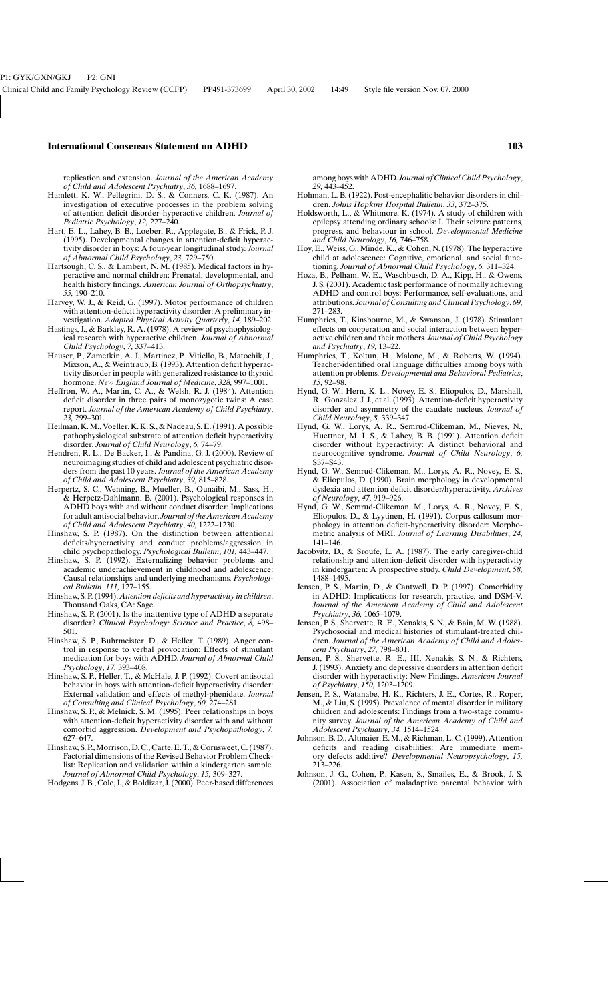replication and extension. *Journal of the American Academy of Child and Adolescent Psychiatry*, *36,* 1688–1697.

- Hamlett, K. W., Pellegrini, D. S., & Conners, C. K. (1987). An investigation of executive processes in the problem solving of attention deficit disorder–hyperactive children. *Journal of Pediatric Psychology*, *12,* 227–240.
- Hart, E. L., Lahey, B. B., Loeber, R., Applegate, B., & Frick, P. J. (1995). Developmental changes in attention-deficit hyperactivity disorder in boys: A four-year longitudinal study. *Journal of Abnormal Child Psychology*, *23,* 729–750.
- Hartsough, C. S., & Lambert, N. M. (1985). Medical factors in hyperactive and normal children: Prenatal, developmental, and health history findings. *American Journal of Orthopsychiatry*, *55,* 190–210.
- Harvey, W. J., & Reid, G. (1997). Motor performance of children with attention-deficit hyperactivity disorder: A preliminary investigation. *Adapted Physical Activity Quarterly*, *14,* 189–202.
- Hastings, J., & Barkley, R. A. (1978). A review of psychophysiological research with hyperactive children. *Journal of Abnormal Child Psychology*, *7,* 337–413.
- Hauser, P., Zametkin, A. J., Martinez, P., Vitiello, B., Matochik, J., Mixson, A., & Weintraub, B. (1993). Attention deficit hyperactivity disorder in people with generalized resistance to thyroid hormone. *New England Journal of Medicine*, *328,* 997–1001.
- Heffron, W. A., Martin, C. A., & Welsh, R. J. (1984). Attention deficit disorder in three pairs of monozygotic twins: A case report. *Journal of the American Academy of Child Psychiatry*, *23,* 299–301.
- Heilman, K. M., Voeller, K. K. S., & Nadeau, S. E. (1991). A possible pathophysiological substrate of attention deficit hyperactivity disorder. *Journal of Child Neurology*, *6,* 74–79.
- Hendren, R. L., De Backer, I., & Pandina, G. J. (2000). Review of neuroimaging studies of child and adolescent psychiatric disorders from the past 10 years. *Journal of the American Academy of Child and Adolescent Psychiatry*, *39,* 815–828.
- Herpertz, S. C., Wenning, B., Mueller, B., Qunaibi, M., Sass, H., & Herpetz-Dahlmann, B. (2001). Psychological responses in ADHD boys with and without conduct disorder: Implications for adult antisocial behavior. *Journal of the American Academy of Child and Adolescent Psychiatry*, *40,* 1222–1230.
- Hinshaw, S. P. (1987). On the distinction between attentional deficits/hyperactivity and conduct problems/aggression in child psychopathology. *Psychological Bulletin*, *101,* 443–447.
- Hinshaw, S. P. (1992). Externalizing behavior problems and academic underachievement in childhood and adolescence: Causal relationships and underlying mechanisms. *Psychological Bulletin*, *111,* 127–155.
- Hinshaw, S. P. (1994).*Attention deficits and hyperactivity in children*. Thousand Oaks, CA: Sage.
- Hinshaw, S. P. (2001). Is the inattentive type of ADHD a separate disorder? *Clinical Psychology: Science and Practice*, *8,* 498– 501.
- Hinshaw, S. P., Buhrmeister, D., & Heller, T. (1989). Anger control in response to verbal provocation: Effects of stimulant medication for boys with ADHD. *Journal of Abnormal Child Psychology*, *17,* 393–408.
- Hinshaw, S. P., Heller, T., & McHale, J. P. (1992). Covert antisocial behavior in boys with attention-deficit hyperactivity disorder: External validation and effects of methyl-phenidate. *Journal of Consulting and Clinical Psychology*, *60,* 274–281.
- Hinshaw, S. P., & Melnick, S. M. (1995). Peer relationships in boys with attention-deficit hyperactivity disorder with and without comorbid aggression. *Development and Psychopathology*, *7,* 627–647.
- Hinshaw, S. P., Morrison, D. C., Carte, E. T., & Cornsweet, C. (1987). Factorial dimensions of the Revised Behavior Problem Checklist: Replication and validation within a kindergarten sample. *Journal of Abnormal Child Psychology*, *15,* 309–327.
- Hodgens, J. B., Cole, J., & Boldizar, J. (2000). Peer-based differences

among boys with ADHD. *Journal of Clinical Child Psychology*, *29,* 443–452.

- Hohman, L. B. (1922). Post-encephalitic behavior disorders in children. *Johns Hopkins Hospital Bulletin*, *33,* 372–375.
- Holdsworth, L., & Whitmore, K. (1974). A study of children with epilepsy attending ordinary schools: I. Their seizure patterns, progress, and behaviour in school. *Developmental Medicine and Child Neurology*, *16,* 746–758.
- Hoy, E., Weiss, G., Minde, K., & Cohen, N. (1978). The hyperactive child at adolescence: Cognitive, emotional, and social functioning. *Journal of Abnormal Child Psychology*, *6,* 311–324.
- Hoza, B., Pelham, W. E., Waschbusch, D. A., Kipp, H., & Owens, J. S. (2001). Academic task performance of normally achieving ADHD and control boys: Performance, self-evaluations, and attributions. *Journal of Consulting and Clinical Psychology*, *69,* 271–283.
- Humphries, T., Kinsbourne, M., & Swanson, J. (1978). Stimulant effects on cooperation and social interaction between hyperactive children and their mothers. *Journal of Child Psychology and Psychiatry*, *19,* 13–22.
- Humphries, T., Koltun, H., Malone, M., & Roberts, W. (1994). Teacher-identified oral language difficulties among boys with attention problems. *Developmental and Behavioral Pediatrics*, *15,* 92–98.
- Hynd, G. W., Hern, K. L., Novey, E. S., Eliopulos, D., Marshall, R., Gonzalez, J. J., et al. (1993). Attention-deficit hyperactivity disorder and asymmetry of the caudate nucleus. *Journal of Child Neurology*, *8,* 339–347.
- Hynd, G. W., Lorys, A. R., Semrud-Clikeman, M., Nieves, N., Huettner, M. I. S., & Lahey, B. B. (1991). Attention deficit disorder without hyperactivity: A distinct behavioral and neurocognitive syndrome. *Journal of Child Neurology*, *6,* S37–S43.
- Hynd, G. W., Semrud-Clikeman, M., Lorys, A. R., Novey, E. S., & Eliopulos, D. (1990). Brain morphology in developmental dyslexia and attention deficit disorder/hyperactivity. *Archives of Neurology*, *47,* 919–926.
- Hynd, G. W., Semrud-Clikeman, M., Lorys, A. R., Novey, E. S., Eliopulos, D., & Lyytinen, H. (1991). Corpus callosum morphology in attention deficit-hyperactivity disorder: Morphometric analysis of MRI. *Journal of Learning Disabilities*, *24,* 141–146.
- Jacobvitz, D., & Sroufe, L. A. (1987). The early caregiver-child relationship and attention-deficit disorder with hyperactivity in kindergarten: A prospective study. *Child Development*, *58,* 1488–1495.
- Jensen, P. S., Martin, D., & Cantwell, D. P. (1997). Comorbidity in ADHD: Implications for research, practice, and DSM-V. *Journal of the American Academy of Child and Adolescent Psychiatry*, *36,* 1065–1079.
- Jensen, P. S., Shervette, R. E., Xenakis, S. N., & Bain, M. W. (1988). Psychosocial and medical histories of stimulant-treated children. *Journal of the American Academy of Child and Adolescent Psychiatry*, *27,* 798–801.
- Jensen, P. S., Shervette, R. E., III, Xenakis, S. N., & Richters, J. (1993). Anxiety and depressive disorders in attention deficit disorder with hyperactivity: New Findings. *American Journal of Psychiatry*, *150,* 1203–1209.
- Jensen, P. S., Watanabe, H. K., Richters, J. E., Cortes, R., Roper, M., & Liu, S. (1995). Prevalence of mental disorder in military children and adolescents: Findings from a two-stage community survey. *Journal of the American Academy of Child and Adolescent Psychiatry*, *34,* 1514–1524.
- Johnson, B. D., Altmaier, E. M., & Richman, L. C. (1999). Attention deficits and reading disabilities: Are immediate memory defects additive? *Developmental Neuropsychology*, *15,* 213–226.
- Johnson, J. G., Cohen, P., Kasen, S., Smailes, E., & Brook, J. S. (2001). Association of maladaptive parental behavior with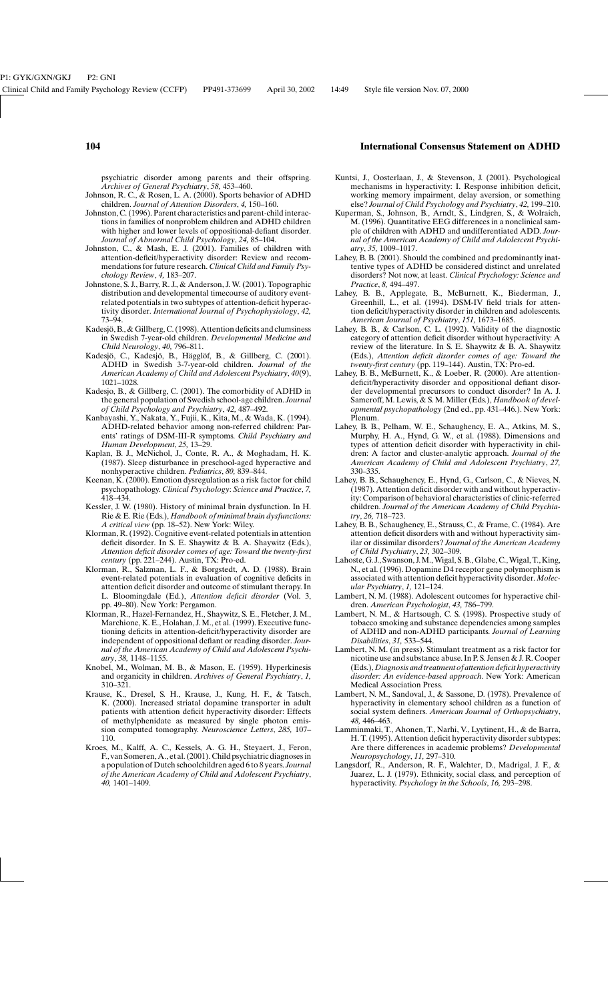psychiatric disorder among parents and their offspring. *Archives of General Psychiatry*, *58,* 453–460.

- Johnson, R. C., & Rosen, L. A. (2000). Sports behavior of ADHD children. *Journal of Attention Disorders*, *4,* 150–160.
- Johnston, C. (1996). Parent characteristics and parent-child interactions in families of nonproblem children and ADHD children with higher and lower levels of oppositional-defiant disorder. *Journal of Abnormal Child Psychology*, *24,* 85–104.
- Johnston, C., & Mash, E. J. (2001). Families of children with attention-deficit/hyperactivity disorder: Review and recommendations for future research. *Clinical Child and Family Psychology Review*, *4,* 183–207.
- Johnstone, S. J., Barry, R. J., & Anderson, J. W. (2001). Topographic distribution and developmental timecourse of auditory eventrelated potentials in two subtypes of attention-deficit hyperactivity disorder. *International Journal of Psychophysiology*, *42,* 73–94.
- Kadesjö, B., & Gillberg, C. (1998). Attention deficits and clumsiness in Swedish 7-year-old children. *Developmental Medicine and Child Neurology*, *40,* 796–811.
- Kadesjö, C., Kadesjö, B., Hägglöf, B., & Gillberg, C. (2001). ADHD in Swedish 3-7-year-old children. *Journal of the American Academy of Child and Adolescent Psychiatry*, *40*(9), 1021–1028.
- Kadesjo, B., & Gillberg, C. (2001). The comorbidity of ADHD in the general population of Swedish school-age children. *Journal of Child Psychology and Psychiatry*, *42,* 487–492.
- Kanbayashi, Y., Nakata, Y., Fujii, K., Kita, M., & Wada, K. (1994). ADHD-related behavior among non-referred children: Parents' ratings of DSM-III-R symptoms. *Child Psychiatry and Human Development*, *25,* 13–29.
- Kaplan, B. J., McNichol, J., Conte, R. A., & Moghadam, H. K. (1987). Sleep disturbance in preschool-aged hyperactive and nonhyperactive children. *Pediatrics*, *80,* 839–844.
- Keenan, K. (2000). Emotion dysregulation as a risk factor for child psychopathology. *Clinical Psychology*: *Science and Practice*, *7,* 418–434.
- Kessler, J. W. (1980). History of minimal brain dysfunction. In H. Rie & E. Rie (Eds.), *Handbook of minimal brain dysfunctions: A critical view* (pp. 18–52). New York: Wiley.
- Klorman, R. (1992). Cognitive event-related potentials in attention deficit disorder. In S. E. Shaywitz & B. A. Shaywitz (Eds.), *Attention deficit disorder comes of age: Toward the twenty-first century* (pp. 221–244). Austin, TX: Pro-ed.
- Klorman, R., Salzman, L. F., & Borgstedt, A. D. (1988). Brain event-related potentials in evaluation of cognitive deficits in attention deficit disorder and outcome of stimulant therapy. In L. Bloomingdale (Ed.), *Attention deficit disorder* (Vol. 3, pp. 49–80). New York: Pergamon.
- Klorman, R., Hazel-Fernandez, H., Shaywitz, S. E., Fletcher, J. M., Marchione, K. E., Holahan, J. M., et al. (1999). Executive functioning deficits in attention-deficit/hyperactivity disorder are independent of oppositional defiant or reading disorder. *Journal of the American Academy of Child and Adolescent Psychiatry*, *38,* 1148–1155.
- Knobel, M., Wolman, M. B., & Mason, E. (1959). Hyperkinesis and organicity in children. *Archives of General Psychiatry*, *1,* 310–321.
- Krause, K., Dresel, S. H., Krause, J., Kung, H. F., & Tatsch, K. (2000). Increased striatal dopamine transporter in adult patients with attention deficit hyperactivity disorder: Effects of methylphenidate as measured by single photon emission computed tomography. *Neuroscience Letters*, *285,* 107– 110.
- Kroes, M., Kalff, A. C., Kessels, A. G. H., Steyaert, J., Feron, F., van Someren, A., et al. (2001). Child psychiatric diagnoses in a population of Dutch schoolchildren aged 6 to 8 years. *Journal of the American Academy of Child and Adolescent Psychiatry*, *40,* 1401–1409.
- Kuntsi, J., Oosterlaan, J., & Stevenson, J. (2001). Psychological mechanisms in hyperactivity: I. Response inhibition deficit, working memory impairment, delay aversion, or something else? *Journal of Child Psychology and Psychiatry*, *42,* 199–210.
- Kuperman, S., Johnson, B., Arndt, S., Lindgren, S., & Wolraich, M. (1996). Quantitative EEG differences in a nonclinical sample of children with ADHD and undifferentiated ADD. *Journal of the American Academy of Child and Adolescent Psychiatry*, *35,* 1009–1017.
- Lahey, B. B. (2001). Should the combined and predominantly inattentive types of ADHD be considered distinct and unrelated disorders? Not now, at least. *Clinical Psychology: Science and Practice*, *8,* 494–497.
- Lahey, B. B., Applegate, B., McBurnett, K., Biederman, J., Greenhill, L., et al. (1994). DSM-IV field trials for attention deficit/hyperactivity disorder in children and adolescents. *American Journal of Psychiatry*, *151,* 1673–1685.
- Lahey, B. B., & Carlson, C. L. (1992). Validity of the diagnostic category of attention deficit disorder without hyperactivity: A review of the literature. In S. E. Shaywitz & B. A. Shaywitz (Eds.), *Attention deficit disorder comes of age: Toward the twenty-first century* (pp. 119–144). Austin, TX: Pro-ed.
- Lahey, B. B., McBurnett, K., & Loeber, R. (2000). Are attentiondeficit/hyperactivity disorder and oppositional defiant disorder developmental precursors to conduct disorder? In A. J. Sameroff, M. Lewis, & S. M. Miller (Eds.), *Handbook of developmental psychopathology* (2nd ed., pp. 431–446.). New York: Plenum.
- Lahey, B. B., Pelham, W. E., Schaughency, E. A., Atkins, M. S., Murphy, H. A., Hynd, G. W., et al. (1988). Dimensions and types of attention deficit disorder with hyperactivity in children: A factor and cluster-analytic approach. *Journal of the American Academy of Child and Adolescent Psychiatry*, *27,* 330–335.
- Lahey, B. B., Schaughency, E., Hynd, G., Carlson, C., & Nieves, N. (1987). Attention deficit disorder with and without hyperactivity: Comparison of behavioral characteristics of clinic-referred children. *Journal of the American Academy of Child Psychiatry*, *26,* 718–723.
- Lahey, B. B., Schaughency, E., Strauss, C., & Frame, C. (1984). Are attention deficit disorders with and without hyperactivity similar or dissimilar disorders? *Journal of the American Academy of Child Psychiatry*, *23,* 302–309.
- Lahoste, G. J., Swanson, J. M., Wigal, S. B., Glabe, C., Wigal, T., King, N., et al. (1996). Dopamine D4 receptor gene polymorphism is associated with attention deficit hyperactivity disorder. *Molecular Psychiatry*, *1,* 121–124.
- Lambert, N. M. (1988). Adolescent outcomes for hyperactive children. *American Psychologist*, *43,* 786–799.
- Lambert, N. M., & Hartsough, C. S. (1998). Prospective study of tobacco smoking and substance dependencies among samples of ADHD and non-ADHD participants. *Journal of Learning Disabilities*, *31,* 533–544.
- Lambert, N. M. (in press). Stimulant treatment as a risk factor for nicotine use and substance abuse. In P. S. Jensen & J. R. Cooper (Eds.), *Diagnosis and treatment of attention deficit hyperactivity disorder: An evidence-based approach*. New York: American Medical Association Press.
- Lambert, N. M., Sandoval, J., & Sassone, D. (1978). Prevalence of hyperactivity in elementary school children as a function of social system definers. *American Journal of Orthopsychiatry*, *48,* 446–463.
- Lamminmaki, T., Ahonen, T., Narhi, V., Lyytinent, H., & de Barra, H. T. (1995). Attention deficit hyperactivity disorder subtypes: Are there differences in academic problems? *Developmental Neuropsychology*, *11,* 297–310.
- Langsdorf, R., Anderson, R. F., Walchter, D., Madrigal, J. F., & Juarez, L. J. (1979). Ethnicity, social class, and perception of hyperactivity. *Psychology in the Schools*, *16,* 293–298.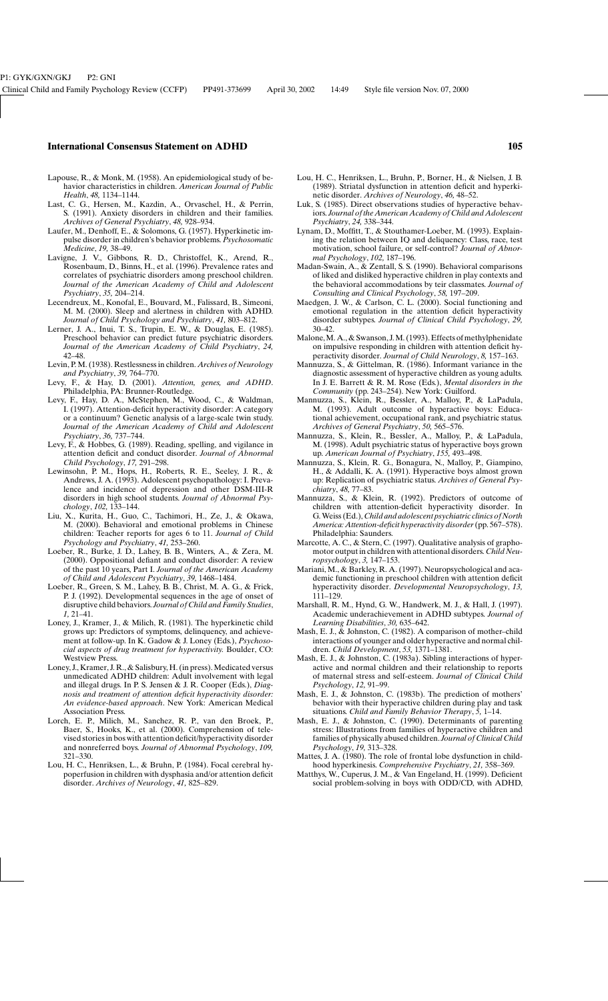- Lapouse, R., & Monk, M. (1958). An epidemiological study of behavior characteristics in children. *American Journal of Public Health*, *48,* 1134–1144.
- Last, C. G., Hersen, M., Kazdin, A., Orvaschel, H., & Perrin, S. (1991). Anxiety disorders in children and their families. *Archives of General Psychiatry*, *48,* 928–934.
- Laufer, M., Denhoff, E., & Solomons, G. (1957). Hyperkinetic impulse disorder in children's behavior problems. *Psychosomatic Medicine*, *19,* 38–49.
- Lavigne, J. V., Gibbons, R. D., Christoffel, K., Arend, R., Rosenbaum, D., Binns, H., et al. (1996). Prevalence rates and correlates of psychiatric disorders among preschool children. *Journal of the American Academy of Child and Adolescent Psychiatry*, *35,* 204–214.
- Lecendreux, M., Konofal, E., Bouvard, M., Falissard, B., Simeoni, M. M. (2000). Sleep and alertness in children with ADHD. *Journal of Child Psychology and Psychiatry*, *41,* 803–812.
- Lerner, J. A., Inui, T. S., Trupin, E. W., & Douglas, E. (1985). Preschool behavior can predict future psychiatric disorders. *Journal of the American Academy of Child Psychiatry*, *24,* 42–48.
- Levin, P. M. (1938). Restlessness in children. *Archives of Neurology and Psychiatry*, *39,* 764–770.
- Levy, F., & Hay, D. (2001). *Attention, genes, and ADHD*. Philadelphia, PA: Brunner-Routledge.
- Levy, F., Hay, D. A., McStephen, M., Wood, C., & Waldman, I. (1997). Attention-deficit hyperactivity disorder: A category or a continuum? Genetic analysis of a large-scale twin study. *Journal of the American Academy of Child and Adolescent Psychiatry*, *36,* 737–744.
- Levy, F., & Hobbes, G. (1989). Reading, spelling, and vigilance in attention deficit and conduct disorder. *Journal of Abnormal Child Psychology*, *17,* 291–298.
- Lewinsohn, P. M., Hops, H., Roberts, R. E., Seeley, J. R., & Andrews, J. A. (1993). Adolescent psychopathology: I. Prevalence and incidence of depression and other DSM-III-R disorders in high school students. *Journal of Abnormal Psychology*, *102,* 133–144.
- Liu, X., Kurita, H., Guo, C., Tachimori, H., Ze, J., & Okawa, M. (2000). Behavioral and emotional problems in Chinese children: Teacher reports for ages 6 to 11. *Journal of Child Psychology and Psychiatry*, *41,* 253–260.
- Loeber, R., Burke, J. D., Lahey, B. B., Winters, A., & Zera, M. (2000). Oppositional defiant and conduct disorder: A review of the past 10 years, Part I. *Journal of the American Academy of Child and Adolescent Psychiatry*, *39,* 1468–1484.
- Loeber, R., Green, S. M., Lahey, B. B., Christ, M. A. G., & Frick, P. J. (1992). Developmental sequences in the age of onset of disruptive child behaviors. *Journal of Child and Family Studies*, *1,* 21–41.
- Loney, J., Kramer, J., & Milich, R. (1981). The hyperkinetic child grows up: Predictors of symptoms, delinquency, and achievement at follow-up. In K. Gadow & J. Loney (Eds.), *Psychosocial aspects of drug treatment for hyperactivity.* Boulder, CO: Westview Press.
- Loney, J., Kramer, J. R., & Salisbury, H. (in press). Medicated versus unmedicated ADHD children: Adult involvement with legal and illegal drugs. In P. S. Jensen & J. R. Cooper (Eds.), *Diagnosis and treatment of attention deficit hyperactivity disorder: An evidence-based approach*. New York: American Medical Association Press.
- Lorch, E. P., Milich, M., Sanchez, R. P., van den Broek, P., Baer, S., Hooks, K., et al. (2000). Comprehension of televised stories in bos with attention deficit/hyperactivity disorder and nonreferred boys. *Journal of Abnormal Psychology*, *109,* 321–330.
- Lou, H. C., Henriksen, L., & Bruhn, P. (1984). Focal cerebral hypoperfusion in children with dysphasia and/or attention deficit disorder. *Archives of Neurology*, *41,* 825–829.
- Lou, H. C., Henriksen, L., Bruhn, P., Borner, H., & Nielsen, J. B. (1989). Striatal dysfunction in attention deficit and hyperkinetic disorder. *Archives of Neurology*, *46,* 48–52.
- Luk, S. (1985). Direct observations studies of hyperactive behaviors. *Journal of the American Academy of Child and Adolescent Psychiatry*, *24,* 338–344.
- Lynam, D., Moffitt, T., & Stouthamer-Loeber, M. (1993). Explaining the relation between IQ and deliquency: Class, race, test motivation, school failure, or self-control? *Journal of Abnormal Psychology*, *102,* 187–196.
- Madan-Swain, A., & Zentall, S. S. (1990). Behavioral comparisons of liked and disliked hyperactive children in play contexts and the behavioral accommodations by teir classmates. *Journal of Consulting and Clinical Psychology*, *58,* 197–209.
- Maedgen, J. W., & Carlson, C. L. (2000). Social functioning and emotional regulation in the attention deficit hyperactivity disorder subtypes. *Journal of Clinical Child Psychology*, *29,* 30–42.
- Malone, M. A., & Swanson, J. M. (1993). Effects of methylphenidate on impulsive responding in children with attention deficit hyperactivity disorder. *Journal of Child Neurology*, *8,* 157–163.
- Mannuzza, S., & Gittelman, R. (1986). Informant variance in the diagnostic assessment of hyperactive children as young adults. In J. E. Barrett & R. M. Rose (Eds.), *Mental disorders in the Community* (pp. 243–254). New York: Guilford.
- Mannuzza, S., Klein, R., Bessler, A., Malloy, P., & LaPadula, M. (1993). Adult outcome of hyperactive boys: Educational achievement, occupational rank, and psychiatric status. *Archives of General Psychiatry*, *50,* 565–576.
- Mannuzza, S., Klein, R., Bessler, A., Malloy, P., & LaPadula, M. (1998). Adult psychiatric status of hyperactive boys grown up. *American Journal of Psychiatry*, *155,* 493–498.
- Mannuzza, S., Klein, R. G., Bonagura, N., Malloy, P., Giampino, H., & Addalli, K. A. (1991). Hyperactive boys almost grown up: Replication of psychiatric status. *Archives of General Psychiatry*, *48,* 77–83.
- Mannuzza, S., & Klein, R. (1992). Predictors of outcome of children with attention-deficit hyperactivity disorder. In G. Weiss (Ed.),*Child and adolescent psychiatric clinics of North America: Attention-deficit hyperactivity disorder*(pp. 567–578). Philadelphia: Saunders.
- Marcotte, A. C., & Stern, C. (1997). Qualitative analysis of graphomotor output in children with attentional disorders. *Child Neuropsychology*, *3,* 147–153.
- Mariani, M., & Barkley, R. A. (1997). Neuropsychological and academic functioning in preschool children with attention deficit hyperactivity disorder. *Developmental Neuropsychology*, *13,* 111–129.
- Marshall, R. M., Hynd, G. W., Handwerk, M. J., & Hall, J. (1997). Academic underachievement in ADHD subtypes. *Journal of Learning Disabilities*, *30,* 635–642.
- Mash, E. J., & Johnston, C. (1982). A comparison of mother–child interactions of younger and older hyperactive and normal children. *Child Development*, *53,* 1371–1381.
- Mash, E. J., & Johnston, C. (1983a). Sibling interactions of hyperactive and normal children and their relationship to reports of maternal stress and self-esteem. *Journal of Clinical Child Psychology*, *12,* 91–99.
- Mash, E. J., & Johnston, C. (1983b). The prediction of mothers' behavior with their hyperactive children during play and task situations. *Child and Family Behavior Therapy*, *5,* 1–14.
- Mash, E. J., & Johnston, C. (1990). Determinants of parenting stress: Illustrations from families of hyperactive children and families of physically abused children. *Journal of Clinical Child Psychology*, *19,* 313–328.
- Mattes, J. A. (1980). The role of frontal lobe dysfunction in childhood hyperkinesis. *Comprehensive Psychiatry*, *21,* 358–369.
- Matthys, W., Cuperus, J. M., & Van Engeland, H. (1999). Deficient social problem-solving in boys with ODD/CD, with ADHD,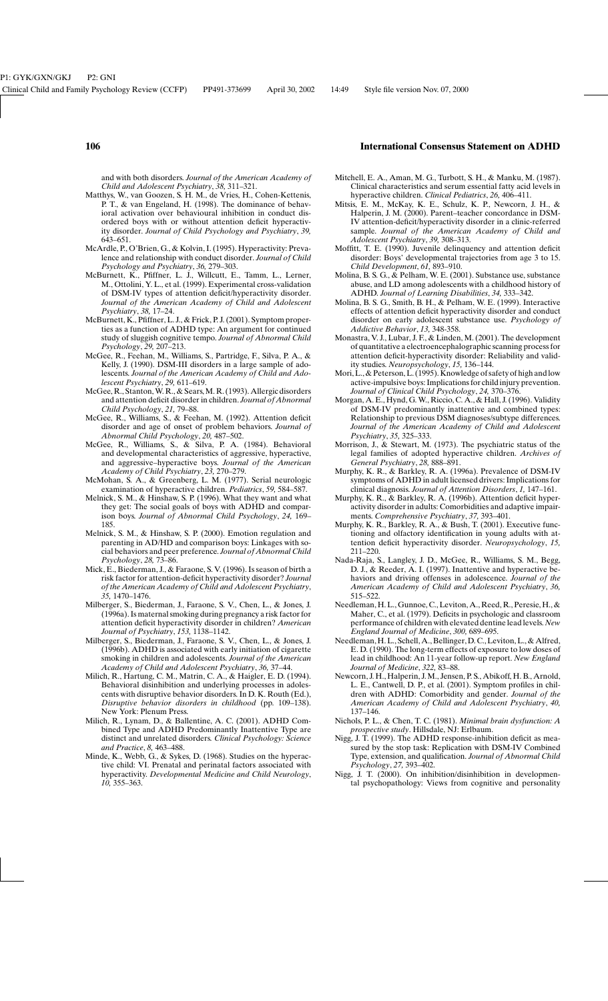and with both disorders. *Journal of the American Academy of Child and Adolescent Psychiatry*, *38,* 311–321.

- Matthys, W., van Goozen, S. H. M., de Vries, H., Cohen-Kettenis, P. T., & van Engeland, H. (1998). The dominance of behavioral activation over behavioural inhibition in conduct disordered boys with or without attention deficit hyperactivity disorder. *Journal of Child Psychology and Psychiatry*, *39,* 643–651.
- McArdle, P., O'Brien, G., & Kolvin, I. (1995). Hyperactivity: Prevalence and relationship with conduct disorder. *Journal of Child Psychology and Psychiatry*, *36,* 279–303.
- McBurnett, K., Pfiffner, L. J., Willcutt, E., Tamm, L., Lerner, M., Ottolini, Y. L., et al. (1999). Experimental cross-validation of DSM-IV types of attention deficit/hyperactivity disorder. *Journal of the American Academy of Child and Adolescent Psychiatry*, *38,* 17–24.
- McBurnett, K., Pfiffner, L. J., & Frick, P. J. (2001). Symptom properties as a function of ADHD type: An argument for continued study of sluggish cognitive tempo. *Journal of Abnormal Child Psychology*, *29,* 207–213.
- McGee, R., Feehan, M., Williams, S., Partridge, F., Silva, P. A., & Kelly, J. (1990). DSM-III disorders in a large sample of adolescents. *Journal of the American Academy of Child and Adolescent Psychiatry*, *29,* 611–619.
- McGee, R., Stanton, W. R., & Sears, M. R. (1993). Allergic disorders and attention deficit disorder in children. *Journal of Abnormal Child Psychology*, *21,* 79–88.
- McGee, R., Williams, S., & Feehan, M. (1992). Attention deficit disorder and age of onset of problem behaviors. *Journal of Abnormal Child Psychology*, *20,* 487–502.
- McGee, R., Williams, S., & Silva, P. A. (1984). Behavioral and developmental characteristics of aggressive, hyperactive, and aggressive–hyperactive boys. *Journal of the American Academy of Child Psychiatry*, *23,* 270–279.
- McMohan, S. A., & Greenberg, L. M. (1977). Serial neurologic examination of hyperactive children. *Pediatrics*, *59,* 584–587.
- Melnick, S. M., & Hinshaw, S. P. (1996). What they want and what they get: The social goals of boys with ADHD and comparison boys. *Journal of Abnormal Child Psychology*, *24,* 169– 185.
- Melnick, S. M., & Hinshaw, S. P. (2000). Emotion regulation and parenting in AD/HD and comparison boys: Linkages with social behaviors and peer preference. *Journal of Abnormal Child Psychology*, *28,* 73–86.
- Mick, E., Biederman, J., & Faraone, S. V. (1996). Is season of birth a risk factor for attention-deficit hyperactivity disorder? *Journal of the American Academy of Child and Adolescent Psychiatry*, *35,* 1470–1476.
- Milberger, S., Biederman, J., Faraone, S. V., Chen, L., & Jones, J. (1996a). Is maternal smoking during pregnancy a risk factor for attention deficit hyperactivity disorder in children? *American Journal of Psychiatry*, *153,* 1138–1142.
- Milberger, S., Biederman, J., Faraone, S. V., Chen, L., & Jones, J. (1996b). ADHD is associated with early initiation of cigarette smoking in children and adolescents. *Journal of the American Academy of Child and Adolescent Psychiatry*, *36,* 37–44.
- Milich, R., Hartung, C. M., Matrin, C. A., & Haigler, E. D. (1994). Behavioral disinhibition and underlying processes in adolescents with disruptive behavior disorders. In D. K. Routh (Ed.), *Disruptive behavior disorders in childhood* (pp. 109–138). New York: Plenum Press.
- Milich, R., Lynam, D., & Ballentine, A. C. (2001). ADHD Combined Type and ADHD Predominantly Inattentive Type are distinct and unrelated disorders. *Clinical Psychology: Science and Practice*, *8,* 463–488.
- Minde, K., Webb, G., & Sykes, D. (1968). Studies on the hyperactive child: VI. Prenatal and perinatal factors associated with hyperactivity. *Developmental Medicine and Child Neurology*, *10,* 355–363.
- Mitchell, E. A., Aman, M. G., Turbott, S. H., & Manku, M. (1987). Clinical characteristics and serum essential fatty acid levels in hyperactive children. *Clinical Pediatrics*, *26,* 406–411.
- Mitsis, E. M., McKay, K. E., Schulz, K. P., Newcorn, J. H., & Halperin, J. M. (2000). Parent–teacher concordance in DSM-IV attention-deficit/hyperactivity disorder in a clinic-referred sample. *Journal of the American Academy of Child and Adolescent Psychiatry*, *39,* 308–313.
- Moffitt, T. E. (1990). Juvenile delinquency and attention deficit disorder: Boys' developmental trajectories from age 3 to 15. *Child Development*, *61,* 893–910.
- Molina, B. S. G., & Pelham, W. E. (2001). Substance use, substance abuse, and LD among adolescents with a childhood history of ADHD. *Journal of Learning Disabilities*, *34,* 333–342.
- Molina, B. S. G., Smith, B. H., & Pelham, W. E. (1999). Interactive effects of attention deficit hyperactivity disorder and conduct disorder on early adolescent substance use. *Psychology of Addictive Behavior*, *13,* 348-358.
- Monastra, V. J., Lubar, J. F., & Linden, M. (2001). The development of quantitative a electroencephalographic scanning process for attention deficit-hyperactivity disorder: Reliability and validity studies. *Neuropsychology*, *15,* 136–144.
- Mori, L., & Peterson, L. (1995). Knowledge of safety of high and low active-impulsive boys: Implications for child injury prevention. *Journal of Clinical Child Psychology*, *24,* 370–376.
- Morgan, A. E., Hynd, G. W., Riccio, C. A., & Hall, J. (1996). Validity of DSM-IV predominantly inattentive and combined types: Relationship to previous DSM diagnoses/subtype differences. *Journal of the American Academy of Child and Adolescent Psychiatry*, *35,* 325–333.
- Morrison, J., & Stewart, M. (1973). The psychiatric status of the legal families of adopted hyperactive children. *Archives of General Psychiatry*, *28,* 888–891.
- Murphy, K. R., & Barkley, R. A. (1996a). Prevalence of DSM-IV symptoms of ADHD in adult licensed drivers: Implications for clinical diagnosis. *Journal of Attention Disorders*, *1,* 147–161.
- Murphy, K. R., & Barkley, R. A. (1996b). Attention deficit hyperactivity disorder in adults: Comorbidities and adaptive impairments. *Comprehensive Psychiatry*, *37,* 393–401.
- Murphy, K. R., Barkley, R. A., & Bush, T. (2001). Executive functioning and olfactory identification in young adults with attention deficit hyperactivity disorder. *Neuropsychology*, *15,* 211–220.
- Nada-Raja, S., Langley, J. D., McGee, R., Williams, S. M., Begg, D. J., & Reeder, A. I. (1997). Inattentive and hyperactive behaviors and driving offenses in adolescence. *Journal of the American Academy of Child and Adolescent Psychiatry*, *36,* 515–522.
- Needleman, H. L., Gunnoe, C., Leviton, A., Reed, R., Peresie, H., & Maher, C., et al. (1979). Deficits in psychologic and classroom performance of children with elevated dentine lead levels. *New England Journal of Medicine*, *300,* 689–695.
- Needleman, H. L., Schell, A., Bellinger, D. C., Leviton, L., & Alfred, E. D. (1990). The long-term effects of exposure to low doses of lead in childhood: An 11-year follow-up report. *New England Journal of Medicine*, *322,* 83–88.
- Newcorn, J. H., Halperin, J. M., Jensen, P. S., Abikoff, H. B., Arnold, L. E., Cantwell, D. P., et al. (2001). Symptom profiles in children with ADHD: Comorbidity and gender. *Journal of the American Academy of Child and Adolescent Psychiatry*, *40,* 137–146.
- Nichols, P. L., & Chen, T. C. (1981). *Minimal brain dysfunction: A prospective study*. Hillsdale, NJ: Erlbaum.
- Nigg, J. T. (1999). The ADHD response-inhibition deficit as measured by the stop task: Replication with DSM-IV Combined Type, extension, and qualification. *Journal of Abnormal Child Psychology*, *27,* 393–402.
- Nigg, J. T. (2000). On inhibition/disinhibition in developmental psychopathology: Views from cognitive and personality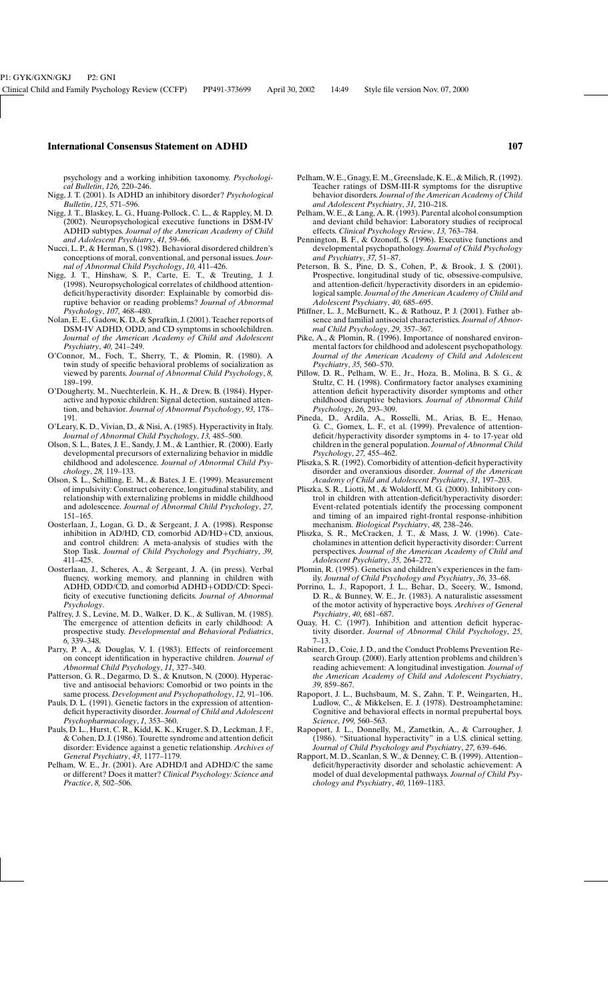psychology and a working inhibition taxonomy. *Psychological Bulletin*, *126,* 220–246.

- Nigg, J. T. (2001). Is ADHD an inhibitory disorder? *Psychological Bulletin*, *125,* 571–596.
- Nigg, J. T., Blaskey, L. G., Huang-Pollock, C. L., & Rappley, M. D. (2002). Neuropsychological executive functions in DSM-IV ADHD subtypes. *Journal of the American Academy of Child and Adolescent Psychiatry*, *41,* 59–66.
- Nucci, L. P., & Herman, S. (1982). Behavioral disordered children's conceptions of moral, conventional, and personal issues. *Journal of Abnormal Child Psychology*, *10,* 411–426.
- Nigg, J. T., Hinshaw, S. P., Carte, E. T., & Treuting, J. J. (1998). Neuropsychological correlates of childhood attentiondeficit/hyperactivity disorder: Explainable by comorbid disruptive behavior or reading problems? *Journal of Abnormal Psychology*, *107,* 468–480.
- Nolan, E. E., Gadow, K. D., & Sprafkin, J. (2001). Teacher reports of DSM-IV ADHD, ODD, and CD symptoms in schoolchildren. *Journal of the American Academy of Child and Adolescent Psychiatry*, *40,* 241–249.
- O'Connor, M., Foch, T., Sherry, T., & Plomin, R. (1980). A twin study of specific behavioral problems of socialization as viewed by parents. *Journal of Abnormal Child Psychology*, *8,* 189–199.
- O'Dougherty, M., Nuechterlein, K. H., & Drew, B. (1984). Hyperactive and hypoxic children: Signal detection, sustained attention, and behavior. *Journal of Abnormal Psychology*, *93,* 178– 191.
- O'Leary, K. D., Vivian, D., & Nisi, A. (1985). Hyperactivity in Italy. *Journal of Abnormal Child Psychology*, *13,* 485–500.
- Olson, S. L., Bates, J. E., Sandy, J. M., & Lanthier, R. (2000). Early developmental precursors of externalizing behavior in middle childhood and adolescence. *Journal of Abnormal Child Psychology*, *28,* 119–133.
- Olson, S. L., Schilling, E. M., & Bates, J. E. (1999). Measurement of impulsivity: Construct coherence, longitudinal stability, and relationship with externalizing problems in middle childhood and adolescence. *Journal of Abnormal Child Psychology*, *27,* 151–165.
- Oosterlaan, J., Logan, G. D., & Sergeant, J. A. (1998). Response inhibition in AD/HD, CD, comorbid AD/HD+CD, anxious, and control children: A meta-analysis of studies with the Stop Task. *Journal of Child Psychology and Psychiatry*, *39,* 411–425.
- Oosterlaan, J., Scheres, A., & Sergeant, J. A. (in press). Verbal fluency, working memory, and planning in children with ADHD, ODD/CD, and comorbid ADHD+ODD/CD: Specificity of executive functioning deficits. *Journal of Abnormal Psychology*.
- Palfrey, J. S., Levine, M. D., Walker, D. K., & Sullivan, M. (1985). The emergence of attention deficits in early childhood: A prospective study. *Developmental and Behavioral Pediatrics*, *6,* 339–348.
- Parry, P. A., & Douglas, V. I. (1983). Effects of reinforcement on concept identification in hyperactive children. *Journal of Abnormal Child Psychology*, *11,* 327–340.
- Patterson, G. R., Degarmo, D. S., & Knutson, N. (2000). Hyperactive and antisocial behaviors: Comorbid or two points in the same process. *Development and Psychopathology*, *12,* 91–106.
- Pauls, D. L. (1991). Genetic factors in the expression of attentiondeficit hyperactivity disorder. *Journal of Child and Adolescent Psychopharmacology*, *1,* 353–360.
- Pauls, D. L., Hurst, C. R., Kidd, K. K., Kruger, S. D., Leckman, J. F., & Cohen, D. J. (1986). Tourette syndrome and attention deficit disorder: Evidence against a genetic relationship. *Archives of General Psychiatry*, *43,* 1177–1179.
- Pelham, W. E., Jr. (2001). Are ADHD/I and ADHD/C the same or different? Does it matter? *Clinical Psychology: Science and Practice*, *8,* 502–506.
- Pelham, W. E., Gnagy, E. M., Greenslade, K. E., & Milich, R. (1992). Teacher ratings of DSM-III-R symptoms for the disruptive behavior disorders. *Journal of the American Academy of Child and Adolescent Psychiatry*, *31,* 210–218.
- Pelham, W. E., & Lang, A. R. (1993). Parental alcohol consumption and deviant child behavior: Laboratory studies of reciprocal effects. *Clinical Psychology Review*, *13,* 763–784.
- Pennington, B. F., & Ozonoff, S. (1996). Executive functions and developmental psychopathology. *Journal of Child Psychology and Psychiatry*, *37,* 51–87.
- Peterson, B. S., Pine, D. S., Cohen, P., & Brook, J. S. (2001). Prospective, longitudinal study of tic, obsessive-compulsive, and attention-deficit /hyperactivity disorders in an epidemiological sample. *Journal of the American Academy of Child and Adolescent Psychiatry*, *40,* 685–695.
- Pfiffner, L. J., McBurnett, K., & Rathouz, P. J. (2001). Father absence and familial antisocial characteristics. *Journal of Abnormal Child Psychology*, *29,* 357–367.
- Pike, A., & Plomin, R. (1996). Importance of nonshared environmental factors for childhood and adolescent psychopathology. *Journal of the American Academy of Child and Adolescent Psychiatry*, *35,* 560–570.
- Pillow, D. R., Pelham, W. E., Jr., Hoza, B., Molina, B. S. G., & Stultz, C. H. (1998). Confirmatory factor analyses examining attention deficit hyperactivity disorder symptoms and other childhood disruptive behaviors. *Journal of Abnormal Child Psychology*, *26,* 293–309.
- Pineda, D., Ardila, A., Rosselli, M., Arias, B. E., Henao, G. C., Gomex, L. F., et al. (1999). Prevalence of attentiondeficit /hyperactivity disorder symptoms in 4- to 17-year old children in the general population. *Journal of Abnormal Child Psychology*, *27,* 455–462.
- Pliszka, S. R. (1992). Comorbidity of attention-deficit hyperactivity disorder and overanxious disorder. *Journal of the American Academy of Child and Adolescent Psychiatry*, *31,* 197–203.
- Pliszka, S. R., Liotti, M., & Woldorff, M. G. (2000). Inhibitory control in children with attention-deficit/hyperactivity disorder: Event-related potentials identify the processing component and timing of an impaired right-frontal response-inhibition mechanism. *Biological Psychiatry*, *48,* 238–246.
- Pliszka, S. R., McCracken, J. T., & Mass, J. W. (1996). Catecholamines in attention deficit hyperactivity disorder: Current perspectives. *Journal of the American Academy of Child and Adolescent Psychiatry*, *35,* 264–272.
- Plomin, R. (1995). Genetics and children's experiences in the family. *Journal of Child Psychology and Psychiatry*, *36,* 33–68.
- Porrino, L. J., Rapoport, J. L., Behar, D., Sceery, W., Ismond, D. R., & Bunney, W. E., Jr. (1983). A naturalistic assessment of the motor activity of hyperactive boys. *Archives of General Psychiatry*, *40,* 681–687.
- Quay, H. C. (1997). Inhibition and attention deficit hyperactivity disorder. *Journal of Abnormal Child Psychology*, *25,* 7–13.
- Rabiner, D., Coie, J. D., and the Conduct Problems Prevention Research Group. (2000). Early attention problems and children's reading achievement: A longitudinal investigation. *Journal of the American Academy of Child and Adolescent Psychiatry*, *39,* 859–867.
- Rapoport, J. L., Buchsbaum, M. S., Zahn, T. P., Weingarten, H., Ludlow, C., & Mikkelsen, E. J. (1978). Destroamphetamine: Cognitive and behavioral effects in normal prepubertal boys. *Science*, *199,* 560–563.
- Rapoport, J. L., Donnelly, M., Zametkin, A., & Carrougher, J. (1986). "Situational hyperactivity" in a U.S. clinical setting. *Journal of Child Psychology and Psychiatry*, *27,* 639–646.
- Rapport, M. D., Scanlan, S. W., & Denney, C. B. (1999). Attention– deficit/hyperactivity disorder and scholastic achievement: A model of dual developmental pathways. *Journal of Child Psychology and Psychiatry*, *40,* 1169–1183.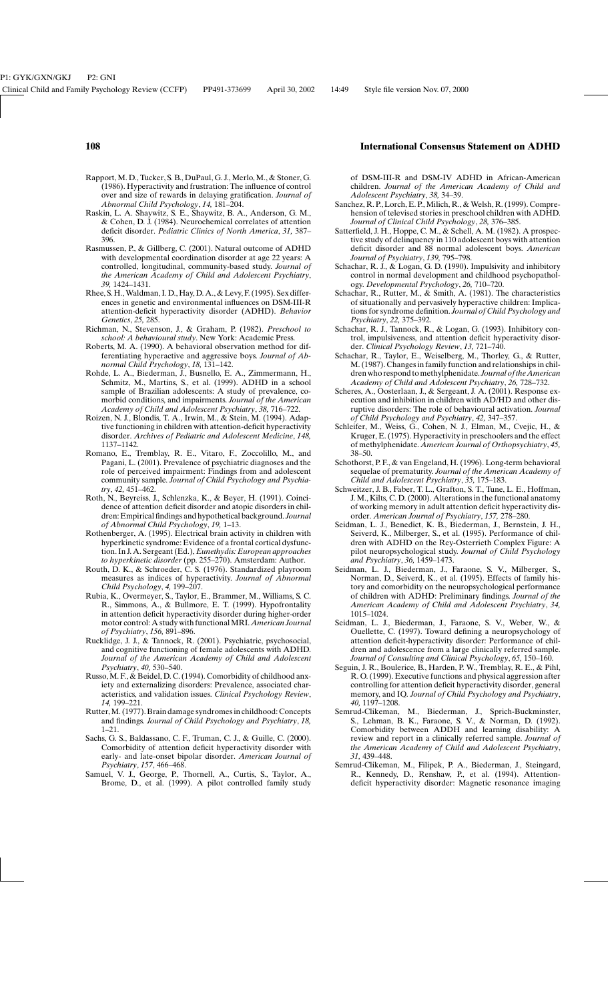- Rapport, M. D., Tucker, S. B., DuPaul, G. J., Merlo, M., & Stoner, G. (1986). Hyperactivity and frustration: The influence of control over and size of rewards in delaying gratification. *Journal of Abnormal Child Psychology*, *14,* 181–204.
- Raskin, L. A. Shaywitz, S. E., Shaywitz, B. A., Anderson, G. M., & Cohen, D. J. (1984). Neurochemical correlates of attention deficit disorder. *Pediatric Clinics of North America*, *31,* 387– 396.
- Rasmussen, P., & Gillberg, C. (2001). Natural outcome of ADHD with developmental coordination disorder at age 22 years: A controlled, longitudinal, community-based study. *Journal of the American Academy of Child and Adolescent Psychiatry*, *39,* 1424–1431.
- Rhee, S. H., Waldman, I. D., Hay, D. A., & Levy, F. (1995). Sex differences in genetic and environmental influences on DSM-III-R attention-deficit hyperactivity disorder (ADHD). *Behavior Genetics*, *25,* 285.
- Richman, N., Stevenson, J., & Graham, P. (1982). *Preschool to school: A behavioural study*. New York: Academic Press.
- Roberts, M. A. (1990). A behavioral observation method for differentiating hyperactive and aggressive boys. *Journal of Abnormal Child Psychology*, *18,* 131–142.
- Rohde, L. A., Biederman, J., Busnello, E. A., Zimmermann, H., Schmitz, M., Martins, S., et al. (1999). ADHD in a school sample of Brazilian adolescents: A study of prevalence, comorbid conditions, and impairments. *Journal of the American Academy of Child and Adolescent Psychiatry*, *38,* 716–722.
- Roizen, N. J., Blondis, T. A., Irwin, M., & Stein, M. (1994). Adaptive functioning in children with attention-deficit hyperactivity disorder. *Archives of Pediatric and Adolescent Medicine*, *148,* 1137–1142.
- Romano, E., Tremblay, R. E., Vitaro, F., Zoccolillo, M., and Pagani, L. (2001). Prevalence of psychiatric diagnoses and the role of perceived impairment: Findings from and adolescent community sample. *Journal of Child Psychology and Psychiatry*, *42,* 451–462.
- Roth, N., Beyreiss, J., Schlenzka, K., & Beyer, H. (1991). Coincidence of attention deficit disorder and atopic disorders in children: Empirical findings and hypothetical background. *Journal of Abnormal Child Psychology*, *19,* 1–13.
- Rothenberger, A. (1995). Electrical brain activity in children with hyperkinetic syndrome: Evidence of a frontal cortical dysfunction. In J. A. Sergeant (Ed.), *Eunethydis: European approaches to hyperkinetic disorder* (pp. 255–270). Amsterdam: Author.
- Routh, D. K., & Schroeder, C. S. (1976). Standardized playroom measures as indices of hyperactivity. *Journal of Abnormal Child Psychology*, *4,* 199–207.
- Rubia, K., Overmeyer, S., Taylor, E., Brammer, M., Williams, S. C. R., Simmons, A., & Bullmore, E. T. (1999). Hypofrontality in attention deficit hyperactivity disorder during higher-order motor control: A study with functional MRI.*American Journal of Psychiatry*, *156,* 891–896.
- Rucklidge, J. J., & Tannock, R. (2001). Psychiatric, psychosocial, and cognitive functioning of female adolescents with ADHD. *Journal of the American Academy of Child and Adolescent Psychiatry*, *40,* 530–540.
- Russo, M. F., & Beidel, D. C. (1994). Comorbidity of childhood anxiety and externalizing disorders: Prevalence, associated characteristics, and validation issues. *Clinical Psychology Review*, *14,* 199–221.
- Rutter, M. (1977). Brain damage syndromes in childhood: Concepts and findings. *Journal of Child Psychology and Psychiatry*, *18,* 1–21.
- Sachs, G. S., Baldassano, C. F., Truman, C. J., & Guille, C. (2000). Comorbidity of attention deficit hyperactivity disorder with early- and late-onset bipolar disorder. *American Journal of Psychiatry*, *157*, 466–468.
- Samuel, V. J., George, P., Thornell, A., Curtis, S., Taylor, A., Brome, D., et al. (1999). A pilot controlled family study

of DSM-III-R and DSM-IV ADHD in African-American children. *Journal of the American Academy of Child and Adolescent Psychiatry*, *38,* 34–39.

- Sanchez, R. P., Lorch, E. P., Milich, R., & Welsh, R. (1999). Comprehension of televised stories in preschool children with ADHD. *Journal of Clinical Child Psychology*, *28,* 376–385.
- Satterfield, J. H., Hoppe, C. M., & Schell, A. M. (1982). A prospective study of delinquency in 110 adolescent boys with attention deficit disorder and 88 normal adolescent boys. *American Journal of Psychiatry*, *139,* 795–798.
- Schachar, R. J., & Logan, G. D. (1990). Impulsivity and inhibitory control in normal development and childhood psychopathology. *Developmental Psychology*, *26,* 710–720.
- Schachar, R., Rutter, M., & Smith, A. (1981). The characteristics of situationally and pervasively hyperactive children: Implications for syndrome definition. *Journal of Child Psychology and Psychiatry*, *22,* 375–392.
- Schachar, R. J., Tannock, R., & Logan, G. (1993). Inhibitory control, impulsiveness, and attention deficit hyperactivity disorder. *Clinical Psychology Review*, *13,* 721–740.
- Schachar, R., Taylor, E., Weiselberg, M., Thorley, G., & Rutter, M. (1987). Changes in family function and relationships in children who respond to methylphenidate. *Journal of the American Academy of Child and Adolescent Psychiatry*, *26,* 728–732.
- Scheres, A., Oosterlaan, J., & Sergeant, J. A. (2001). Response execution and inhibition in children with AD/HD and other disruptive disorders: The role of behavioural activation. *Journal of Child Psychology and Psychiatry*, *42,* 347–357.
- Schleifer, M., Weiss, G., Cohen, N. J., Elman, M., Cvejic, H., & Kruger, E. (1975). Hyperactivity in preschoolers and the effect of methylphenidate. *American Journal of Orthopsychiatry*, *45,* 38–50.
- Schothorst, P. F., & van Engeland, H. (1996). Long-term behavioral sequelae of prematurity. *Journal of the American Academy of Child and Adolescent Psychiatry*, *35,* 175–183.
- Schweitzer, J. B., Faber, T. L., Grafton, S. T., Tune, L. E., Hoffman, J. M., Kilts, C. D. (2000). Alterations in the functional anatomy of working memory in adult attention deficit hyperactivity disorder. *American Journal of Psychiatry*, *157,* 278–280.
- Seidman, L. J., Benedict, K. B., Biederman, J., Bernstein, J. H., Seiverd, K., Milberger, S., et al. (1995). Performance of children with ADHD on the Rey-Osterrieth Complex Figure: A pilot neuropsychological study. *Journal of Child Psychology and Psychiatry*, *36,* 1459–1473.
- Seidman, L. J., Biederman, J., Faraone, S. V., Milberger, S., Norman, D., Seiverd, K., et al. (1995). Effects of family history and comorbidity on the neuropsychological performance of children with ADHD: Preliminary findings. *Journal of the American Academy of Child and Adolescent Psychiatry*, *34,* 1015–1024.
- Seidman, L. J., Biederman, J., Faraone, S. V., Weber, W., & Ouellette, C. (1997). Toward defining a neuropsychology of attention deficit-hyperactivity disorder: Performance of children and adolescence from a large clinically referred sample. *Journal of Consulting and Clinical Psychology*, *65,* 150–160.
- Seguin, J. R., Boulerice, B., Harden, P. W., Tremblay, R. E., & Pihl, R. O. (1999). Executive functions and physical aggression after controlling for attention deficit hyperactivity disorder, general memory, and IQ. *Journal of Child Psychology and Psychiatry*, *40,* 1197–1208.
- Semrud-Clikeman, M., Biederman, J., Sprich-Buckminster, S., Lehman, B. K., Faraone, S. V., & Norman, D. (1992). Comorbidity between ADDH and learning disability: A review and report in a clinically referred sample. *Journal of the American Academy of Child and Adolescent Psychiatry*, *31,* 439–448.
- Semrud-Clikeman, M., Filipek, P. A., Biederman, J., Steingard, R., Kennedy, D., Renshaw, P., et al. (1994). Attentiondeficit hyperactivity disorder: Magnetic resonance imaging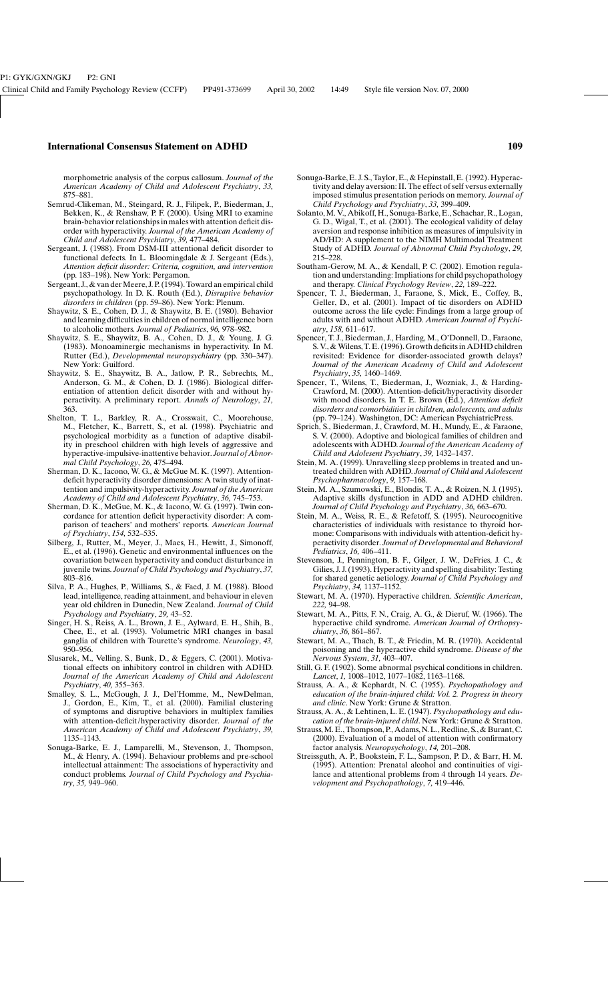morphometric analysis of the corpus callosum. *Journal of the American Academy of Child and Adolescent Psychiatry*, *33,* 875–881.

- Semrud-Clikeman, M., Steingard, R. J., Filipek, P., Biederman, J., Bekken, K., & Renshaw, P. F. (2000). Using MRI to examine brain-behavior relationships in males with attention deficit disorder with hyperactivity. *Journal of the American Academy of Child and Adolescent Psychiatry*, *39,* 477–484.
- Sergeant, J. (1988). From DSM-III attentional deficit disorder to functional defects. In L. Bloomingdale & J. Sergeant (Eds.), *Attention deficit disorder: Criteria, cognition, and intervention* (pp. 183–198). New York: Pergamon.
- Sergeant, J., & van der Meere, J. P. (1994). Toward an empirical child psychopathology. In D. K. Routh (Ed.), *Disruptive behavior disorders in children* (pp. 59–86). New York: Plenum.
- Shaywitz, S. E., Cohen, D. J., & Shaywitz, B. E. (1980). Behavior and learning difficulties in children of normal intelligence born to alcoholic mothers. *Journal of Pediatrics*, *96,* 978–982.
- Shaywitz, S. E., Shaywitz, B. A., Cohen, D. J., & Young, J. G. (1983). Monoaminergic mechanisms in hyperactivity. In M. Rutter (Ed.), *Developmental neuropsychiatry* (pp. 330–347). New York: Guilford.
- Shaywitz, S. E., Shaywitz, B. A., Jatlow, P. R., Sebrechts, M., Anderson, G. M., & Cohen, D. J. (1986). Biological differentiation of attention deficit disorder with and without hyperactivity. A preliminary report. *Annals of Neurology*, *21,* 363.
- Shelton, T. L., Barkley, R. A., Crosswait, C., Moorehouse, M., Fletcher, K., Barrett, S., et al. (1998). Psychiatric and psychological morbidity as a function of adaptive disability in preschool children with high levels of aggressive and hyperactive-impulsive-inattentive behavior. *Journal of Abnormal Child Psychology*, *26,* 475–494.
- Sherman, D. K., Iacono, W. G., & McGue M. K. (1997). Attentiondeficit hyperactivity disorder dimensions: A twin study of inattention and impulsivity-hyperactivity. *Journal of the American Academy of Child and Adolescent Psychiatry*, *36,* 745–753.
- Sherman, D. K., McGue, M. K., & Iacono, W. G. (1997). Twin concordance for attention deficit hyperactivity disorder: A comparison of teachers' and mothers' reports. *American Journal of Psychiatry*, *154,* 532–535.
- Silberg, J., Rutter, M., Meyer, J., Maes, H., Hewitt, J., Simonoff, E., et al. (1996). Genetic and environmental influences on the covariation between hyperactivity and conduct disturbance in juvenile twins. *Journal of Child Psychology and Psychiatry*, *37,* 803–816.
- Silva, P. A., Hughes, P., Williams, S., & Faed, J. M. (1988). Blood lead, intelligence, reading attainment, and behaviour in eleven year old children in Dunedin, New Zealand. *Journal of Child Psychology and Psychiatry*, *29,* 43–52.
- Singer, H. S., Reiss, A. L., Brown, J. E., Aylward, E. H., Shih, B., Chee, E., et al. (1993). Volumetric MRI changes in basal ganglia of children with Tourette's syndrome. *Neurology*, *43,* 950–956.
- Slusarek, M., Velling, S., Bunk, D., & Eggers, C. (2001). Motivational effects on inhibitory control in children with ADHD. *Journal of the American Academy of Child and Adolescent Psychiatry*, *40,* 355–363.
- Smalley, S. L., McGough, J. J., Del'Homme, M., NewDelman, J., Gordon, E., Kim, T., et al. (2000). Familial clustering of symptoms and disruptive behaviors in multiplex families with attention-deficit /hyperactivity disorder. *Journal of the American Academy of Child and Adolescent Psychiatry*, *39,* 1135–1143.
- Sonuga-Barke, E. J., Lamparelli, M., Stevenson, J., Thompson, M., & Henry, A. (1994). Behaviour problems and pre-school intellectual attainment: The associations of hyperactivity and conduct problems. *Journal of Child Psychology and Psychiatry*, *35,* 949–960.
- Sonuga-Barke, E. J. S., Taylor, E., & Hepinstall, E. (1992). Hyperactivity and delay aversion: II. The effect of self versus externally imposed stimulus presentation periods on memory. *Journal of Child Psychology and Psychiatry*, *33,* 399–409.
- Solanto, M. V., Abikoff, H., Sonuga-Barke, E., Schachar, R., Logan, G. D., Wigal, T., et al. (2001). The ecological validity of delay aversion and response inhibition as measures of impulsivity in AD/HD: A supplement to the NIMH Multimodal Treatment Study of ADHD. *Journal of Abnormal Child Psychology*, *29,* 215–228.
- Southam-Gerow, M. A., & Kendall, P. C. (2002). Emotion regulation and understanding: Impliations for child psychopathology and therapy. *Clinical Psychology Review*, *22,* 189–222.
- Spencer, T. J., Biederman, J., Faraone, S., Mick, E., Coffey, B., Geller, D., et al. (2001). Impact of tic disorders on ADHD outcome across the life cycle: Findings from a large group of adults with and without ADHD. *American Journal of Psychiatry*, *158,* 611–617.
- Spencer, T. J., Biederman, J., Harding, M., O'Donnell, D., Faraone, S. V., & Wilens, T. E. (1996). Growth deficits in ADHD children revisited: Evidence for disorder-associated growth delays? *Journal of the American Academy of Child and Adolescent Psychiatry*, *35,* 1460–1469.
- Spencer, T., Wilens, T., Biederman, J., Wozniak, J., & Harding-Crawford, M. (2000). Attention-deficit/hyperactivity disorder with mood disorders. In T. E. Brown (Ed.), *Attention deficit disorders and comorbidities in children, adolescents, and adults* (pp. 79–124). Washington, DC: American PsychiatricPress.
- Sprich, S., Biederman, J., Crawford, M. H., Mundy, E., & Faraone, S. V. (2000). Adoptive and biological families of children and adolescents with ADHD. *Journal of the American Academy of Child and Adolesent Psychiatry*, *39,* 1432–1437.
- Stein, M. A. (1999). Unravelling sleep problems in treated and untreated children with ADHD. *Journal of Child and Adolescent Psychopharmacology*, *9,* 157–168.
- Stein, M. A., Szumowski, E., Blondis, T. A., & Roizen, N. J. (1995). Adaptive skills dysfunction in ADD and ADHD children. *Journal of Child Psychology and Psychiatry*, *36,* 663–670.
- Stein, M. A., Weiss, R. E., & Refetoff, S. (1995). Neurocognitive characteristics of individuals with resistance to thyroid hormone: Comparisons with individuals with attention-deficit hyperactivity disorder. *Journal of Developmental and Behavioral Pediatrics*, *16,* 406–411.
- Stevenson, J., Pennington, B. F., Gilger, J. W., DeFries, J. C., & Gilies, J. J. (1993). Hyperactivity and spelling disability: Testing for shared genetic aetiology. *Journal of Child Psychology and Psychiatry*, *34,* 1137–1152.
- Stewart, M. A. (1970). Hyperactive children. *Scientific American*, *222,* 94–98.
- Stewart, M. A., Pitts, F. N., Craig, A. G., & Dieruf, W. (1966). The hyperactive child syndrome. *American Journal of Orthopsychiatry*, *36,* 861–867.
- Stewart, M. A., Thach, B. T., & Friedin, M. R. (1970). Accidental poisoning and the hyperactive child syndrome. *Disease of the Nervous System*, *31,* 403–407.
- Still, G. F. (1902). Some abnormal psychical conditions in children. *Lancet*, *1,* 1008–1012, 1077–1082, 1163–1168.
- Strauss, A. A., & Kephardt, N. C. (1955). *Psychopathology and education of the brain-injured child: Vol. 2. Progress in theory and clinic*. New York: Grune & Stratton.
- Strauss, A. A., & Lehtinen, L. E. (1947). *Psychopathology and education of the brain-injured child*. New York: Grune & Stratton.
- Strauss, M. E., Thompson, P., Adams, N. L., Redline, S., & Burant, C. (2000). Evaluation of a model of attention with confirmatory factor analysis. *Neuropsychology*, *14,* 201–208.
- Streissguth, A. P., Bookstein, F. L., Sampson, P. D., & Barr, H. M. (1995). Attention: Prenatal alcohol and continuities of vigilance and attentional problems from 4 through 14 years. *Development and Psychopathology*, *7,* 419–446.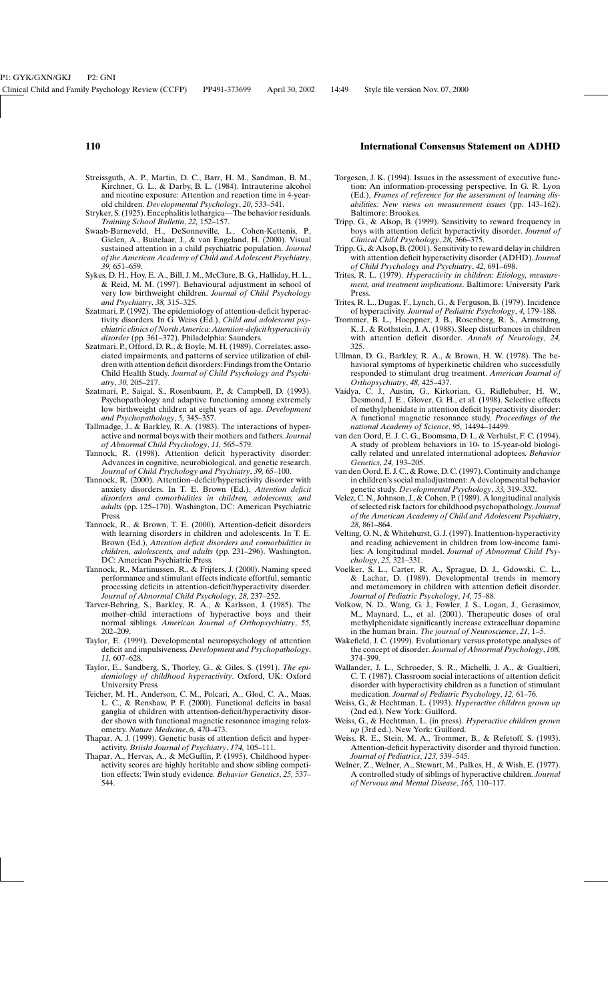- Streissguth, A. P., Martin, D. C., Barr, H. M., Sandman, B. M., Kirchner, G. L., & Darby, B. L. (1984). Intrauterine alcohol and nicotine exposure: Attention and reaction time in 4-yearold children. *Developmental Psychology*, *20,* 533–541.
- Stryker, S. (1925). Encephalitis lethargica—The behavior residuals. *Training School Bulletin*, *22,* 152–157.
- Swaab-Barneveld, H., DeSonneville, L., Cohen-Kettenis, P., Gielen, A., Buitelaar, J., & van Engeland, H. (2000). Visual sustained attention in a child psychiatric population. *Journal of the American Academy of Child and Adolescent Psychiatry*, *39,* 651–659.
- Sykes, D. H., Hoy, E. A., Bill, J. M., McClure, B. G., Halliday, H. L., & Reid, M. M. (1997). Behavioural adjustment in school of very low birthweight children. *Journal of Child Psychology and Psychiatry*, *38,* 315–325.
- Szatmari, P. (1992). The epidemiology of attention-deficit hyperactivity disorders. In G. Weiss (Ed.), *Child and adolescent psychiatric clinics of North America: Attention-deficit hyperactivity disorder* (pp. 361–372). Philadelphia: Saunders.
- Szatmari, P., Offord, D. R., & Boyle, M. H. (1989). Correlates, associated impairments, and patterns of service utilization of children with attention deficit disorders: Findings from the Ontario Child Health Study. *Journal of Child Psychology and Psychiatry*, *30,* 205–217.
- Szatmari, P., Saigal, S., Rosenbaum, P., & Campbell, D. (1993). Psychopathology and adaptive functioning among extremely low birthweight children at eight years of age. *Development and Psychopathology*, *5,* 345–357.
- Tallmadge, J., & Barkley, R. A. (1983). The interactions of hyperactive and normal boys with their mothers and fathers. *Journal of Abnormal Child Psychology*, *11,* 565–579.
- Tannock, R. (1998). Attention deficit hyperactivity disorder: Advances in cognitive, neurobiological, and genetic research. *Journal of Child Psychology and Psychiatry*, *39,* 65–100.
- Tannock, R. (2000). Attention–deficit/hyperactivity disorder with anxiety disorders. In T. E. Brown (Ed.), *Attention deficit disorders and comorbidities in children, adolescents, and adults* (pp. 125–170). Washington, DC: American Psychiatric Press.
- Tannock, R., & Brown, T. E. (2000). Attention-deficit disorders with learning disorders in children and adolescents. In T. E. Brown (Ed.), *Attention deficit disorders and comorbidities in children, adolescents, and adults* (pp. 231–296). Washington, DC: American Psychiatric Press.
- Tannock, R., Martinussen, R., & Frijters, J. (2000). Naming speed performance and stimulant effects indicate effortful, semantic processing deficits in attention-deficit/hyperactivity disorder. *Journal of Abnormal Child Psychology*, *28,* 237–252.
- Tarver-Behring, S., Barkley, R. A., & Karlsson, J. (1985). The mother–child interactions of hyperactive boys and their normal siblings. *American Journal of Orthopsychiatry*, *55,* 202–209.
- Taylor, E. (1999). Developmental neuropsychology of attention deficit and impulsiveness. *Development and Psychopathology*, *11,* 607–628.
- Taylor, E., Sandberg, S., Thorley, G., & Giles, S. (1991). *The epidemiology of childhood hyperactivity*. Oxford, UK: Oxford University Press.
- Teicher, M. H., Anderson, C. M., Polcari, A., Glod, C. A., Maas, L. C., & Renshaw, P. F. (2000). Functional deficits in basal ganglia of children with attention-deficit/hyperactivity disorder shown with functional magnetic resonance imaging relaxometry. *Nature Medicine*, *6,* 470–473.
- Thapar, A. J. (1999). Genetic basis of attention deficit and hyperactivity. *Briisht Journal of Psychiatry*, *174,* 105–111.
- Thapar, A., Hervas, A., & McGuffin, P. (1995). Childhood hyperactivity scores are highly heritable and show sibling competition effects: Twin study evidence. *Behavior Genetics*, *25,* 537– 544.
- Torgesen, J. K. (1994). Issues in the assessment of executive function: An information-processing perspective. In G. R. Lyon (Ed.), *Frames of reference for the assessment of learning disabilities: New views on measurement issues* (pp. 143–162). Baltimore: Brookes.
- Tripp, G., & Alsop, B. (1999). Sensitivity to reward frequency in boys with attention deficit hyperactivity disorder. *Journal of Clinical Child Psychology*, *28,* 366–375.
- Tripp, G., & Alsop, B. (2001). Sensitivity to reward delay in children with attention deficit hyperactivity disorder (ADHD). *Journal of Child Psychology and Psychiatry*, *42,* 691–698.
- Trites, R. L. (1979). *Hyperactivity in children: Etiology, measurement, and treatment implications*. Baltimore: University Park Press.
- Trites, R. L., Dugas, F., Lynch, G., & Ferguson, B. (1979). Incidence of hyperactivity. *Journal of Pediatric Psychology*, *4,* 179–188.
- Trommer, B. L., Hoeppner, J. B., Rosenberg, R. S., Armstrong, K. J., & Rothstein, J. A. (1988). Sleep disturbances in children with attention deficit disorder. *Annals of Neurology*, *24,* 325.
- Ullman, D. G., Barkley, R. A., & Brown, H. W. (1978). The behavioral symptoms of hyperkinetic children who successfully responded to stimulant drug treatment. *American Journal of Orthopsychiatry*, *48,* 425–437.
- Vaidya, C. J., Austin, G., Kirkorian, G., Ridlehuber, H. W., Desmond, J. E., Glover, G. H., et al. (1998). Selective effects of methylphenidate in attention deficit hyperactivity disorder: A functional magnetic resonance study. *Proceedings of the national Academy of Science*, *95,* 14494–14499.
- van den Oord, E. J. C. G., Boomsma, D. I., & Verhulst, F. C. (1994). A study of problem behaviors in 10- to 15-year-old biologically related and unrelated international adoptees. *Behavior Genetics*, *24,* 193–205.
- van den Oord, E. J. C., & Rowe, D. C. (1997). Continuity and change in children's social maladjustment: A developmental behavior genetic study. *Developmental Psychology*, *33,* 319–332.
- Velez, C. N., Johnson, J., & Cohen, P. (1989). A longitudinal analysis of selected risk factors for childhood psychopathology. *Journal of the American Academy of Child and Adolescent Psychiatry*, *28,* 861–864.
- Velting, O. N., & Whitehurst, G. J. (1997). Inattention-hyperactivity and reading achievement in children from low-income families: A longitudinal model. *Journal of Abnormal Child Psychology*, *25,* 321–331.
- Voelker, S. L., Carter, R. A., Sprague, D. J., Gdowski, C. L., & Lachar, D. (1989). Developmental trends in memory and metamemory in children with attention deficit disorder. *Journal of Pediatric Psychology*, *14,* 75–88.
- Volkow, N. D., Wang, G. J., Fowler, J. S., Logan, J., Gerasimov, M., Maynard, L., et al. (2001). Therapeutic doses of oral methylphenidate significantly increase extracelluar dopamine in the human brain. *The journal of Neuroscience*, *21,* 1–5.
- Wakefield, J. C. (1999). Evolutionary versus prototype analyses of the concept of disorder. *Journal of Abnormal Psychology*, *108,* 374–399.
- Wallander, J. L., Schroeder, S. R., Michelli, J. A., & Gualtieri, C. T. (1987). Classroom social interactions of attention deficit disorder with hyperactivity children as a function of stimulant medication. *Journal of Pediatric Psychology*, *12,* 61–76.
- Weiss, G., & Hechtman, L. (1993). *Hyperactive children grown up* (2nd ed.). New York: Guilford.
- Weiss, G., & Hechtman, L. (in press). *Hyperactive children grown up* (3rd ed.). New York: Guilford.
- Weiss, R. E., Stein, M. A., Trommer, B., & Refetoff, S. (1993). Attention-deficit hyperactivity disorder and thyroid function. *Journal of Pediatrics*, *123,* 539–545.
- Welner, Z., Welner, A., Stewart, M., Palkes, H., & Wish, E. (1977). A controlled study of siblings of hyperactive children. *Journal of Nervous and Mental Disease*, *165,* 110–117.